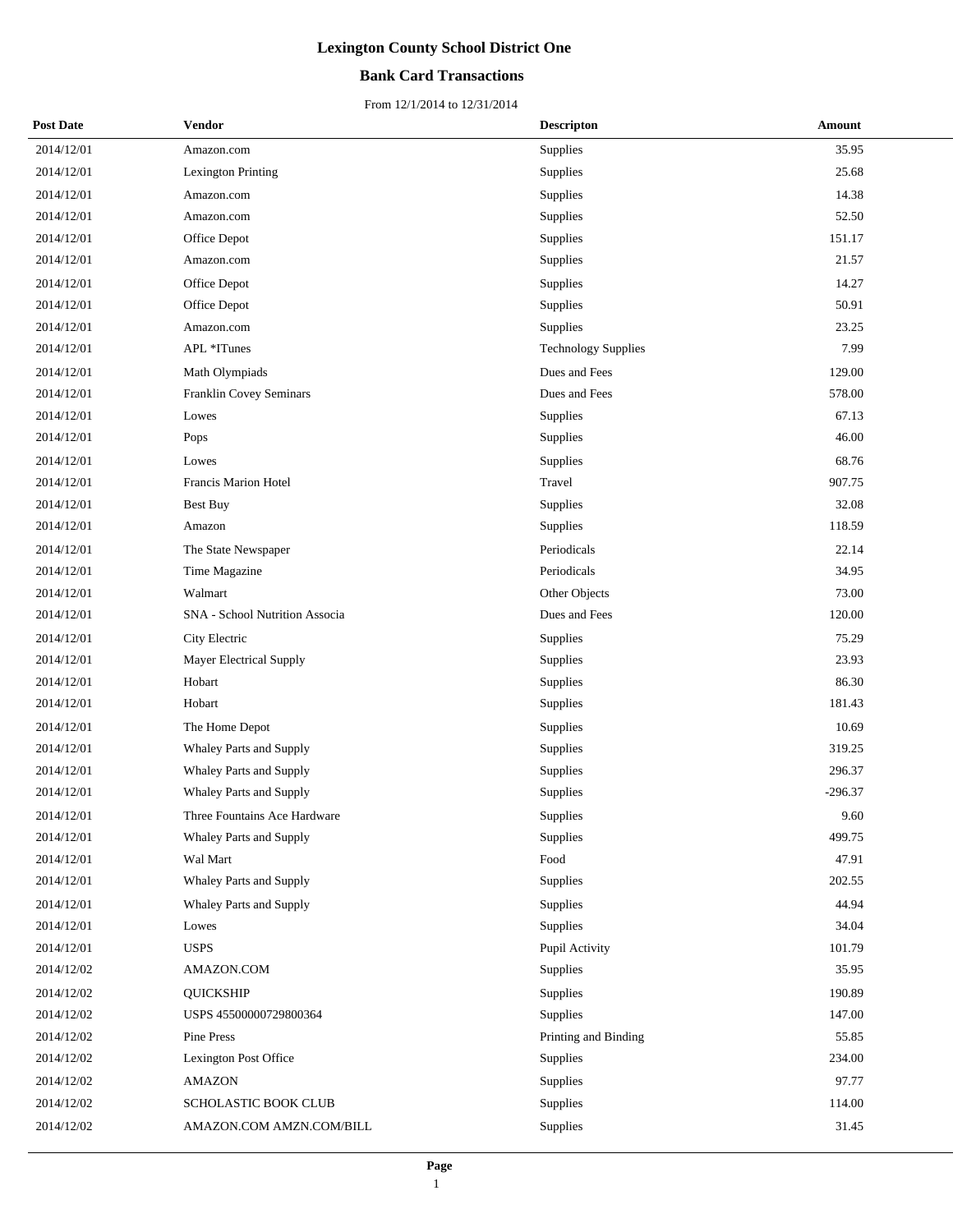## **Bank Card Transactions**

| <b>Post Date</b> | <b>Vendor</b>                  | <b>Descripton</b>          | Amount    |
|------------------|--------------------------------|----------------------------|-----------|
| 2014/12/01       | Amazon.com                     | Supplies                   | 35.95     |
| 2014/12/01       | Lexington Printing             | Supplies                   | 25.68     |
| 2014/12/01       | Amazon.com                     | Supplies                   | 14.38     |
| 2014/12/01       | Amazon.com                     | Supplies                   | 52.50     |
| 2014/12/01       | Office Depot                   | Supplies                   | 151.17    |
| 2014/12/01       | Amazon.com                     | Supplies                   | 21.57     |
| 2014/12/01       | Office Depot                   | Supplies                   | 14.27     |
| 2014/12/01       | Office Depot                   | Supplies                   | 50.91     |
| 2014/12/01       | Amazon.com                     | Supplies                   | 23.25     |
| 2014/12/01       | APL *ITunes                    | <b>Technology Supplies</b> | 7.99      |
| 2014/12/01       | Math Olympiads                 | Dues and Fees              | 129.00    |
| 2014/12/01       | Franklin Covey Seminars        | Dues and Fees              | 578.00    |
| 2014/12/01       | Lowes                          | Supplies                   | 67.13     |
| 2014/12/01       | Pops                           | <b>Supplies</b>            | 46.00     |
| 2014/12/01       | Lowes                          | Supplies                   | 68.76     |
| 2014/12/01       | Francis Marion Hotel           | Travel                     | 907.75    |
| 2014/12/01       | <b>Best Buy</b>                | Supplies                   | 32.08     |
| 2014/12/01       | Amazon                         | Supplies                   | 118.59    |
| 2014/12/01       | The State Newspaper            | Periodicals                | 22.14     |
| 2014/12/01       | Time Magazine                  | Periodicals                | 34.95     |
| 2014/12/01       | Walmart                        | Other Objects              | 73.00     |
| 2014/12/01       | SNA - School Nutrition Associa | Dues and Fees              | 120.00    |
| 2014/12/01       | City Electric                  | Supplies                   | 75.29     |
| 2014/12/01       | Mayer Electrical Supply        | Supplies                   | 23.93     |
| 2014/12/01       | Hobart                         | Supplies                   | 86.30     |
| 2014/12/01       | Hobart                         | Supplies                   | 181.43    |
| 2014/12/01       | The Home Depot                 | Supplies                   | 10.69     |
| 2014/12/01       | Whaley Parts and Supply        | Supplies                   | 319.25    |
| 2014/12/01       | Whaley Parts and Supply        | Supplies                   | 296.37    |
| 2014/12/01       | Whaley Parts and Supply        | Supplies                   | $-296.37$ |
| 2014/12/01       | Three Fountains Ace Hardware   | Supplies                   | 9.60      |
| 2014/12/01       | Whaley Parts and Supply        | Supplies                   | 499.75    |
| 2014/12/01       | Wal Mart                       | Food                       | 47.91     |
| 2014/12/01       | Whaley Parts and Supply        | Supplies                   | 202.55    |
| 2014/12/01       | Whaley Parts and Supply        | Supplies                   | 44.94     |
| 2014/12/01       | Lowes                          | Supplies                   | 34.04     |
| 2014/12/01       | <b>USPS</b>                    | Pupil Activity             | 101.79    |
| 2014/12/02       | AMAZON.COM                     | Supplies                   | 35.95     |
| 2014/12/02       | <b>QUICKSHIP</b>               | Supplies                   | 190.89    |
| 2014/12/02       | USPS 45500000729800364         | Supplies                   | 147.00    |
| 2014/12/02       | Pine Press                     | Printing and Binding       | 55.85     |
| 2014/12/02       | Lexington Post Office          | Supplies                   | 234.00    |
| 2014/12/02       | <b>AMAZON</b>                  | Supplies                   | 97.77     |
| 2014/12/02       | SCHOLASTIC BOOK CLUB           | Supplies                   | 114.00    |
| 2014/12/02       | AMAZON.COM AMZN.COM/BILL       | Supplies                   | 31.45     |
|                  |                                |                            |           |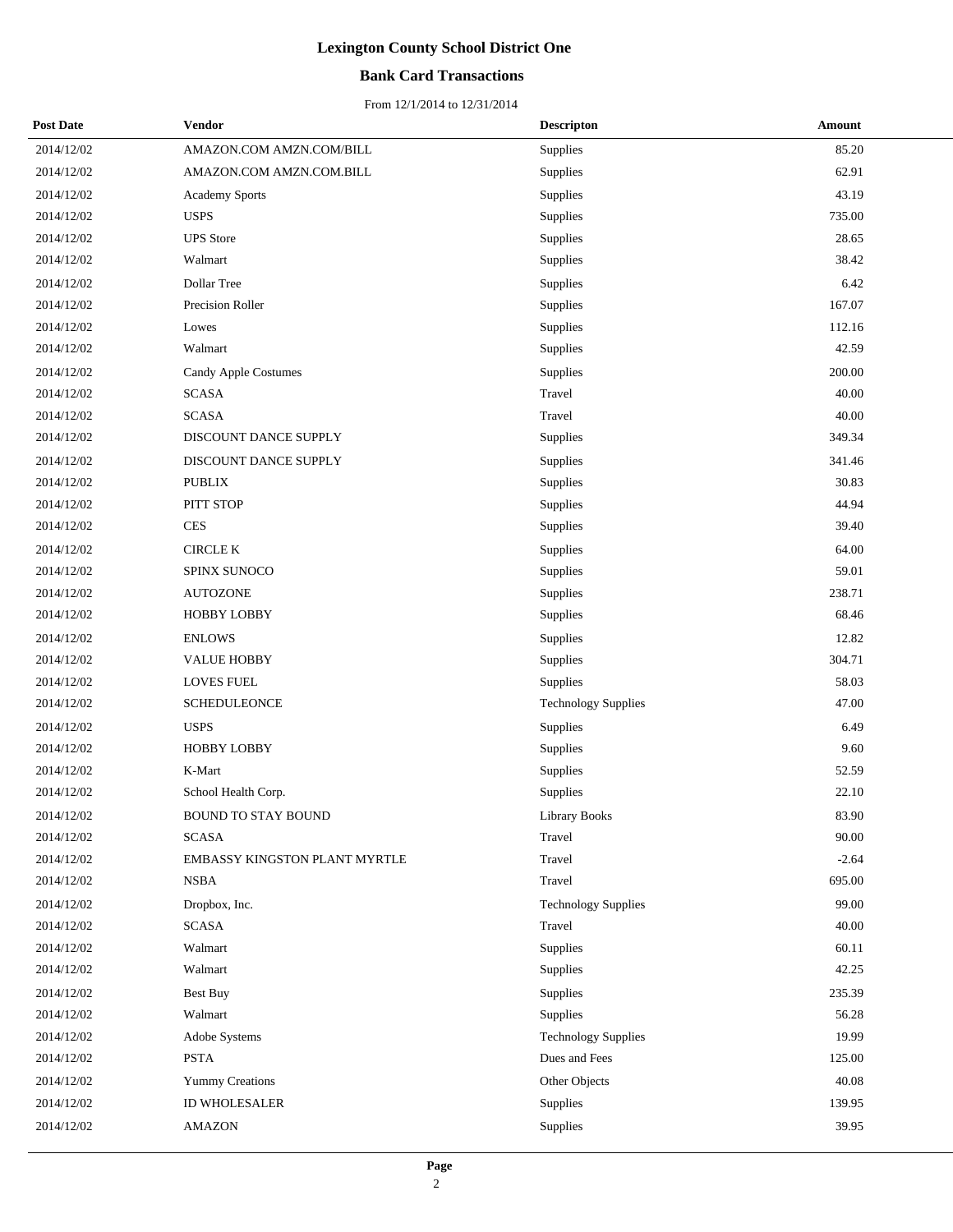## **Bank Card Transactions**

| <b>Post Date</b> | Vendor                        | <b>Descripton</b>          | Amount  |
|------------------|-------------------------------|----------------------------|---------|
| 2014/12/02       | AMAZON.COM AMZN.COM/BILL      | Supplies                   | 85.20   |
| 2014/12/02       | AMAZON.COM AMZN.COM.BILL      | Supplies                   | 62.91   |
| 2014/12/02       | <b>Academy Sports</b>         | Supplies                   | 43.19   |
| 2014/12/02       | <b>USPS</b>                   | Supplies                   | 735.00  |
| 2014/12/02       | <b>UPS</b> Store              | Supplies                   | 28.65   |
| 2014/12/02       | Walmart                       | Supplies                   | 38.42   |
| 2014/12/02       | Dollar Tree                   | Supplies                   | 6.42    |
| 2014/12/02       | Precision Roller              | Supplies                   | 167.07  |
| 2014/12/02       | Lowes                         | Supplies                   | 112.16  |
| 2014/12/02       | Walmart                       | Supplies                   | 42.59   |
| 2014/12/02       | Candy Apple Costumes          | Supplies                   | 200.00  |
| 2014/12/02       | <b>SCASA</b>                  | Travel                     | 40.00   |
| 2014/12/02       | <b>SCASA</b>                  | Travel                     | 40.00   |
| 2014/12/02       | DISCOUNT DANCE SUPPLY         | Supplies                   | 349.34  |
| 2014/12/02       | DISCOUNT DANCE SUPPLY         | Supplies                   | 341.46  |
| 2014/12/02       | <b>PUBLIX</b>                 | Supplies                   | 30.83   |
| 2014/12/02       | PITT STOP                     | Supplies                   | 44.94   |
| 2014/12/02       | <b>CES</b>                    | Supplies                   | 39.40   |
| 2014/12/02       | CIRCLE K                      | Supplies                   | 64.00   |
| 2014/12/02       | SPINX SUNOCO                  | Supplies                   | 59.01   |
| 2014/12/02       | <b>AUTOZONE</b>               | Supplies                   | 238.71  |
| 2014/12/02       | <b>HOBBY LOBBY</b>            | Supplies                   | 68.46   |
| 2014/12/02       | <b>ENLOWS</b>                 | Supplies                   | 12.82   |
| 2014/12/02       | <b>VALUE HOBBY</b>            | Supplies                   | 304.71  |
| 2014/12/02       | <b>LOVES FUEL</b>             | Supplies                   | 58.03   |
| 2014/12/02       | <b>SCHEDULEONCE</b>           | <b>Technology Supplies</b> | 47.00   |
| 2014/12/02       | <b>USPS</b>                   | Supplies                   | 6.49    |
| 2014/12/02       | <b>HOBBY LOBBY</b>            | Supplies                   | 9.60    |
| 2014/12/02       | K-Mart                        | Supplies                   | 52.59   |
| 2014/12/02       | School Health Corp.           | Supplies                   | 22.10   |
| 2014/12/02       | <b>BOUND TO STAY BOUND</b>    | Library Books              | 83.90   |
| 2014/12/02       | <b>SCASA</b>                  | Travel                     | 90.00   |
| 2014/12/02       | EMBASSY KINGSTON PLANT MYRTLE | Travel                     | $-2.64$ |
| 2014/12/02       | <b>NSBA</b>                   | Travel                     | 695.00  |
| 2014/12/02       | Dropbox, Inc.                 | <b>Technology Supplies</b> | 99.00   |
| 2014/12/02       | <b>SCASA</b>                  | Travel                     | 40.00   |
| 2014/12/02       | Walmart                       | Supplies                   | 60.11   |
| 2014/12/02       | Walmart                       | Supplies                   | 42.25   |
| 2014/12/02       | <b>Best Buy</b>               | Supplies                   | 235.39  |
| 2014/12/02       | Walmart                       | Supplies                   | 56.28   |
| 2014/12/02       | Adobe Systems                 | <b>Technology Supplies</b> | 19.99   |
| 2014/12/02       | PSTA                          | Dues and Fees              | 125.00  |
| 2014/12/02       | <b>Yummy Creations</b>        | Other Objects              | 40.08   |
| 2014/12/02       | ID WHOLESALER                 | Supplies                   | 139.95  |
| 2014/12/02       | <b>AMAZON</b>                 | Supplies                   | 39.95   |
|                  |                               |                            |         |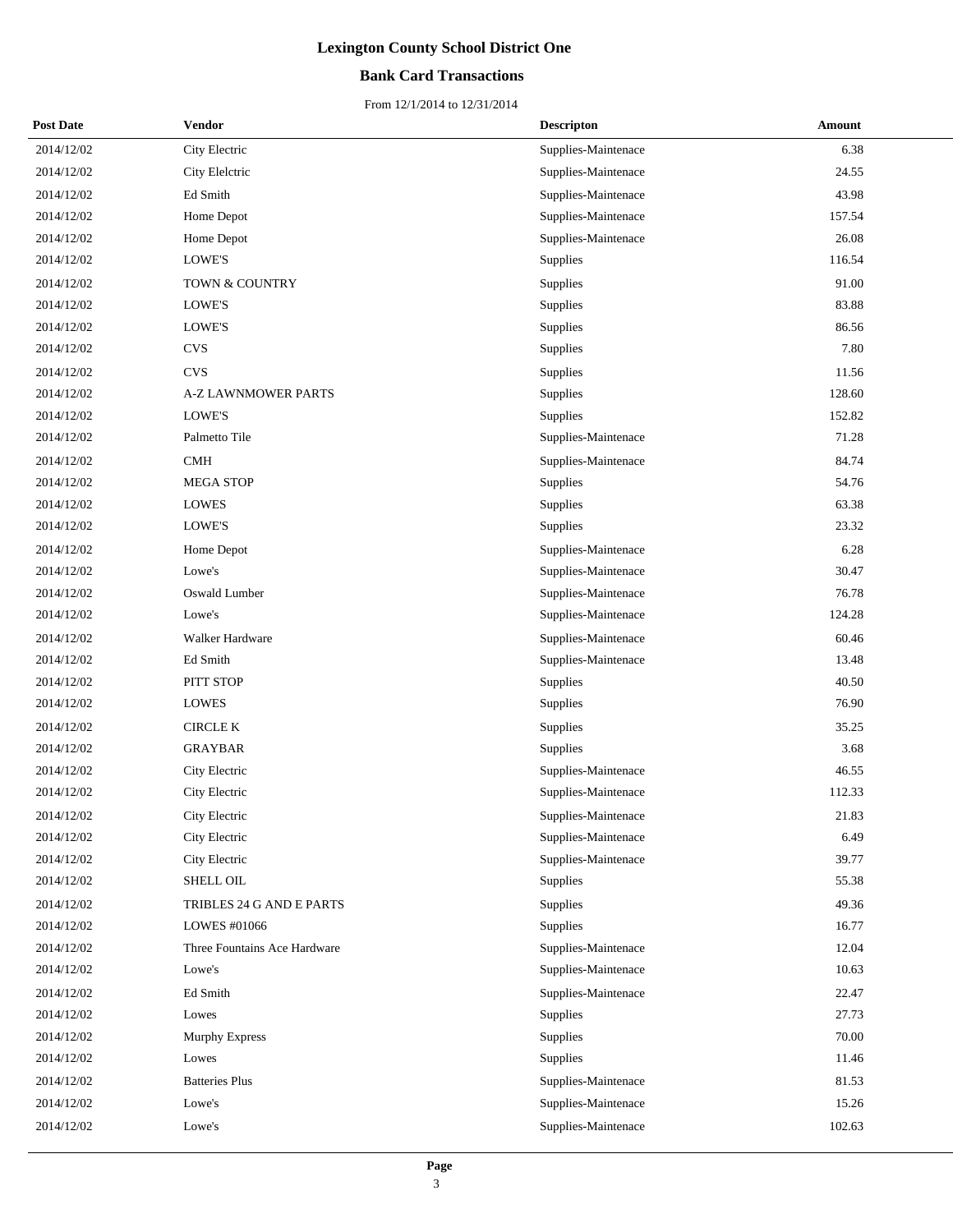## **Bank Card Transactions**

| <b>Post Date</b> | Vendor                       | <b>Descripton</b>   | Amount |
|------------------|------------------------------|---------------------|--------|
| 2014/12/02       | City Electric                | Supplies-Maintenace | 6.38   |
| 2014/12/02       | City Elelctric               | Supplies-Maintenace | 24.55  |
| 2014/12/02       | Ed Smith                     | Supplies-Maintenace | 43.98  |
| 2014/12/02       | Home Depot                   | Supplies-Maintenace | 157.54 |
| 2014/12/02       | Home Depot                   | Supplies-Maintenace | 26.08  |
| 2014/12/02       | LOWE'S                       | Supplies            | 116.54 |
| 2014/12/02       | TOWN & COUNTRY               | Supplies            | 91.00  |
| 2014/12/02       | LOWE'S                       | Supplies            | 83.88  |
| 2014/12/02       | LOWE'S                       | Supplies            | 86.56  |
| 2014/12/02       | <b>CVS</b>                   | Supplies            | 7.80   |
| 2014/12/02       | <b>CVS</b>                   | Supplies            | 11.56  |
| 2014/12/02       | <b>A-Z LAWNMOWER PARTS</b>   | Supplies            | 128.60 |
| 2014/12/02       | LOWE'S                       | Supplies            | 152.82 |
| 2014/12/02       | Palmetto Tile                | Supplies-Maintenace | 71.28  |
| 2014/12/02       | $\operatorname{CMH}$         | Supplies-Maintenace | 84.74  |
| 2014/12/02       | <b>MEGA STOP</b>             | Supplies            | 54.76  |
| 2014/12/02       | <b>LOWES</b>                 | Supplies            | 63.38  |
| 2014/12/02       | LOWE'S                       | Supplies            | 23.32  |
| 2014/12/02       | Home Depot                   | Supplies-Maintenace | 6.28   |
| 2014/12/02       | Lowe's                       | Supplies-Maintenace | 30.47  |
| 2014/12/02       | Oswald Lumber                | Supplies-Maintenace | 76.78  |
| 2014/12/02       | Lowe's                       | Supplies-Maintenace | 124.28 |
| 2014/12/02       | Walker Hardware              | Supplies-Maintenace | 60.46  |
| 2014/12/02       | Ed Smith                     | Supplies-Maintenace | 13.48  |
| 2014/12/02       | PITT STOP                    | Supplies            | 40.50  |
| 2014/12/02       | <b>LOWES</b>                 | Supplies            | 76.90  |
| 2014/12/02       | <b>CIRCLE K</b>              | Supplies            | 35.25  |
| 2014/12/02       | <b>GRAYBAR</b>               | Supplies            | 3.68   |
| 2014/12/02       | City Electric                | Supplies-Maintenace | 46.55  |
| 2014/12/02       | City Electric                | Supplies-Maintenace | 112.33 |
| 2014/12/02       | City Electric                | Supplies-Maintenace | 21.83  |
| 2014/12/02       | City Electric                | Supplies-Maintenace | 6.49   |
| 2014/12/02       | City Electric                | Supplies-Maintenace | 39.77  |
| 2014/12/02       | SHELL OIL                    | Supplies            | 55.38  |
| 2014/12/02       | TRIBLES 24 G AND E PARTS     | Supplies            | 49.36  |
| 2014/12/02       | LOWES #01066                 | Supplies            | 16.77  |
| 2014/12/02       | Three Fountains Ace Hardware | Supplies-Maintenace | 12.04  |
| 2014/12/02       | Lowe's                       | Supplies-Maintenace | 10.63  |
| 2014/12/02       | Ed Smith                     | Supplies-Maintenace | 22.47  |
| 2014/12/02       | Lowes                        | Supplies            | 27.73  |
| 2014/12/02       | <b>Murphy Express</b>        | Supplies            | 70.00  |
| 2014/12/02       | Lowes                        | Supplies            | 11.46  |
| 2014/12/02       | <b>Batteries Plus</b>        | Supplies-Maintenace | 81.53  |
| 2014/12/02       | Lowe's                       | Supplies-Maintenace | 15.26  |
| 2014/12/02       | Lowe's                       | Supplies-Maintenace | 102.63 |
|                  |                              |                     |        |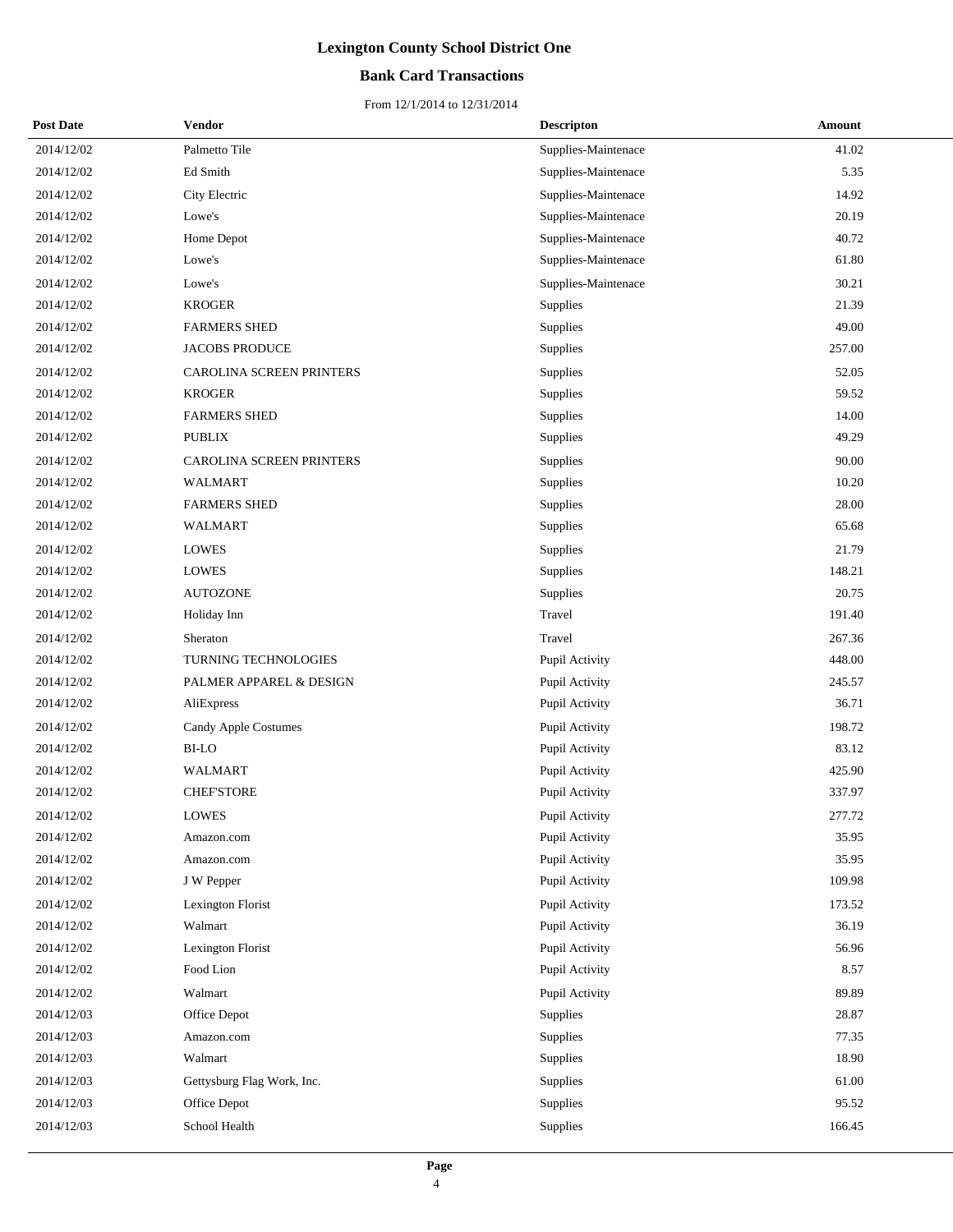## **Bank Card Transactions**

| <b>Post Date</b> | Vendor                     | <b>Descripton</b>   | Amount |
|------------------|----------------------------|---------------------|--------|
| 2014/12/02       | Palmetto Tile              | Supplies-Maintenace | 41.02  |
| 2014/12/02       | Ed Smith                   | Supplies-Maintenace | 5.35   |
| 2014/12/02       | City Electric              | Supplies-Maintenace | 14.92  |
| 2014/12/02       | Lowe's                     | Supplies-Maintenace | 20.19  |
| 2014/12/02       | Home Depot                 | Supplies-Maintenace | 40.72  |
| 2014/12/02       | Lowe's                     | Supplies-Maintenace | 61.80  |
| 2014/12/02       | Lowe's                     | Supplies-Maintenace | 30.21  |
| 2014/12/02       | <b>KROGER</b>              | Supplies            | 21.39  |
| 2014/12/02       | <b>FARMERS SHED</b>        | Supplies            | 49.00  |
| 2014/12/02       | JACOBS PRODUCE             | Supplies            | 257.00 |
| 2014/12/02       | CAROLINA SCREEN PRINTERS   | Supplies            | 52.05  |
| 2014/12/02       | <b>KROGER</b>              | Supplies            | 59.52  |
| 2014/12/02       | <b>FARMERS SHED</b>        | Supplies            | 14.00  |
| 2014/12/02       | <b>PUBLIX</b>              | Supplies            | 49.29  |
| 2014/12/02       | CAROLINA SCREEN PRINTERS   | Supplies            | 90.00  |
| 2014/12/02       | <b>WALMART</b>             | Supplies            | 10.20  |
| 2014/12/02       | <b>FARMERS SHED</b>        | Supplies            | 28.00  |
| 2014/12/02       | WALMART                    | Supplies            | 65.68  |
| 2014/12/02       | LOWES                      | Supplies            | 21.79  |
| 2014/12/02       | <b>LOWES</b>               | Supplies            | 148.21 |
| 2014/12/02       | <b>AUTOZONE</b>            | Supplies            | 20.75  |
| 2014/12/02       | Holiday Inn                | Travel              | 191.40 |
| 2014/12/02       | Sheraton                   | Travel              | 267.36 |
| 2014/12/02       | TURNING TECHNOLOGIES       | Pupil Activity      | 448.00 |
| 2014/12/02       | PALMER APPAREL & DESIGN    | Pupil Activity      | 245.57 |
| 2014/12/02       | AliExpress                 | Pupil Activity      | 36.71  |
| 2014/12/02       | Candy Apple Costumes       | Pupil Activity      | 198.72 |
| 2014/12/02       | <b>BI-LO</b>               | Pupil Activity      | 83.12  |
| 2014/12/02       | <b>WALMART</b>             | Pupil Activity      | 425.90 |
| 2014/12/02       | <b>CHEF'STORE</b>          | Pupil Activity      | 337.97 |
| 2014/12/02       | <b>LOWES</b>               | Pupil Activity      | 277.72 |
| 2014/12/02       | Amazon.com                 | Pupil Activity      | 35.95  |
| 2014/12/02       | Amazon.com                 | Pupil Activity      | 35.95  |
| 2014/12/02       | J W Pepper                 | Pupil Activity      | 109.98 |
| 2014/12/02       | Lexington Florist          | Pupil Activity      | 173.52 |
| 2014/12/02       | Walmart                    | Pupil Activity      | 36.19  |
| 2014/12/02       | Lexington Florist          | Pupil Activity      | 56.96  |
| 2014/12/02       | Food Lion                  | Pupil Activity      | 8.57   |
| 2014/12/02       | Walmart                    | Pupil Activity      | 89.89  |
| 2014/12/03       | Office Depot               | Supplies            | 28.87  |
| 2014/12/03       | Amazon.com                 | Supplies            | 77.35  |
| 2014/12/03       | Walmart                    | Supplies            | 18.90  |
| 2014/12/03       | Gettysburg Flag Work, Inc. | Supplies            | 61.00  |
| 2014/12/03       | Office Depot               | Supplies            | 95.52  |
| 2014/12/03       | School Health              | Supplies            | 166.45 |
|                  |                            |                     |        |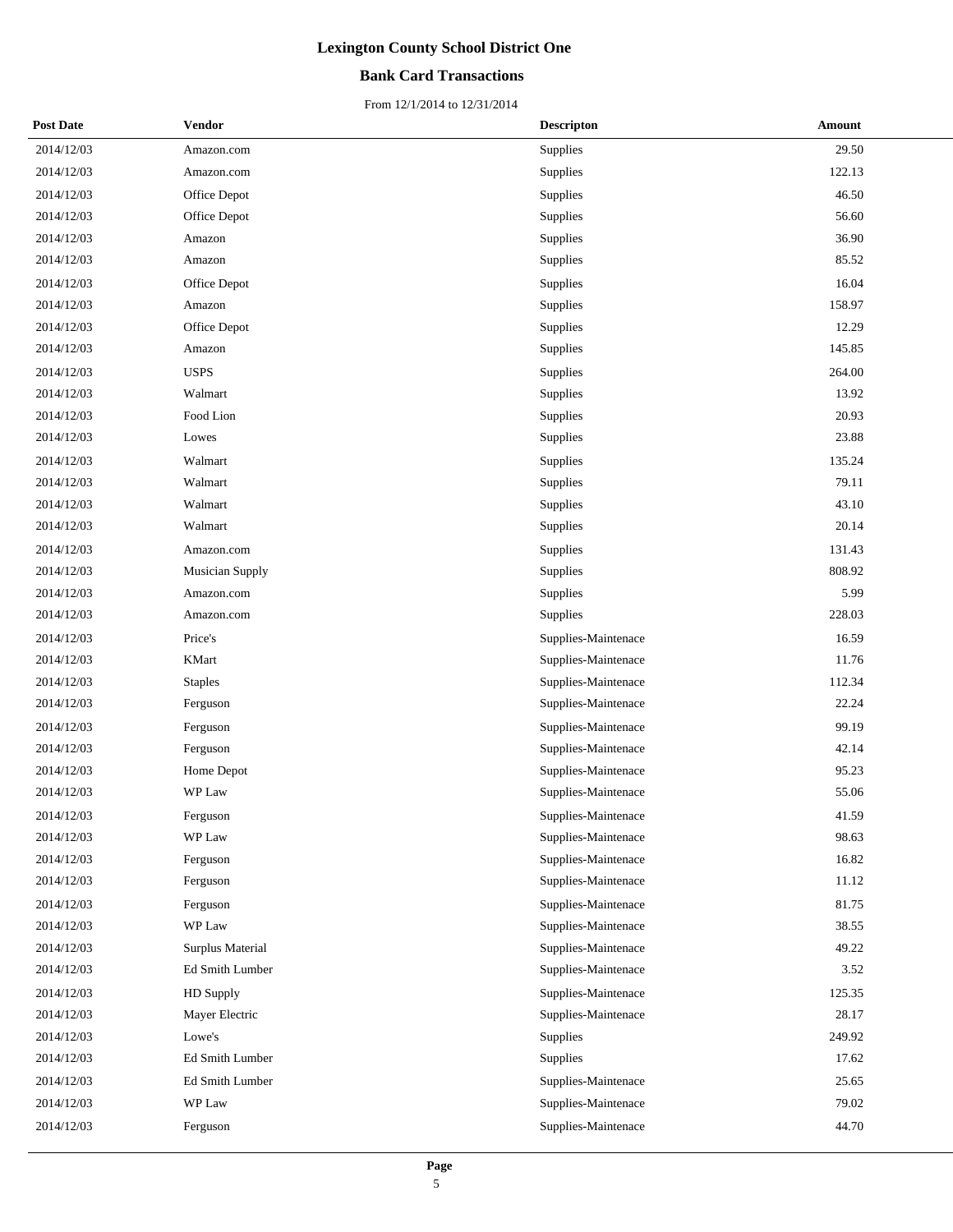## **Bank Card Transactions**

| <b>Post Date</b> | Vendor           | <b>Descripton</b>   | Amount |  |
|------------------|------------------|---------------------|--------|--|
| 2014/12/03       | Amazon.com       | Supplies            | 29.50  |  |
| 2014/12/03       | Amazon.com       | Supplies            | 122.13 |  |
| 2014/12/03       | Office Depot     | Supplies            | 46.50  |  |
| 2014/12/03       | Office Depot     | Supplies            | 56.60  |  |
| 2014/12/03       | Amazon           | Supplies            | 36.90  |  |
| 2014/12/03       | Amazon           | Supplies            | 85.52  |  |
| 2014/12/03       | Office Depot     | Supplies            | 16.04  |  |
| 2014/12/03       | Amazon           | Supplies            | 158.97 |  |
| 2014/12/03       | Office Depot     | Supplies            | 12.29  |  |
| 2014/12/03       | Amazon           | Supplies            | 145.85 |  |
| 2014/12/03       | <b>USPS</b>      | Supplies            | 264.00 |  |
| 2014/12/03       | Walmart          | Supplies            | 13.92  |  |
| 2014/12/03       | Food Lion        | Supplies            | 20.93  |  |
| 2014/12/03       | Lowes            | Supplies            | 23.88  |  |
| 2014/12/03       | Walmart          | Supplies            | 135.24 |  |
| 2014/12/03       | Walmart          | Supplies            | 79.11  |  |
| 2014/12/03       | Walmart          | Supplies            | 43.10  |  |
| 2014/12/03       | Walmart          | Supplies            | 20.14  |  |
| 2014/12/03       | Amazon.com       | Supplies            | 131.43 |  |
| 2014/12/03       | Musician Supply  | Supplies            | 808.92 |  |
| 2014/12/03       | Amazon.com       | Supplies            | 5.99   |  |
| 2014/12/03       | Amazon.com       | Supplies            | 228.03 |  |
| 2014/12/03       | Price's          | Supplies-Maintenace | 16.59  |  |
| 2014/12/03       | KMart            | Supplies-Maintenace | 11.76  |  |
| 2014/12/03       | <b>Staples</b>   | Supplies-Maintenace | 112.34 |  |
| 2014/12/03       | Ferguson         | Supplies-Maintenace | 22.24  |  |
| 2014/12/03       | Ferguson         | Supplies-Maintenace | 99.19  |  |
| 2014/12/03       | Ferguson         | Supplies-Maintenace | 42.14  |  |
| 2014/12/03       | Home Depot       | Supplies-Maintenace | 95.23  |  |
| 2014/12/03       | WP Law           | Supplies-Maintenace | 55.06  |  |
| 2014/12/03       | Ferguson         | Supplies-Maintenace | 41.59  |  |
| 2014/12/03       | WP Law           | Supplies-Maintenace | 98.63  |  |
| 2014/12/03       | Ferguson         | Supplies-Maintenace | 16.82  |  |
| 2014/12/03       | Ferguson         | Supplies-Maintenace | 11.12  |  |
| 2014/12/03       | Ferguson         | Supplies-Maintenace | 81.75  |  |
| 2014/12/03       | WP Law           | Supplies-Maintenace | 38.55  |  |
| 2014/12/03       | Surplus Material | Supplies-Maintenace | 49.22  |  |
| 2014/12/03       | Ed Smith Lumber  | Supplies-Maintenace | 3.52   |  |
| 2014/12/03       | HD Supply        | Supplies-Maintenace | 125.35 |  |
| 2014/12/03       | Mayer Electric   | Supplies-Maintenace | 28.17  |  |
| 2014/12/03       | Lowe's           | Supplies            | 249.92 |  |
| 2014/12/03       | Ed Smith Lumber  | Supplies            | 17.62  |  |
| 2014/12/03       | Ed Smith Lumber  | Supplies-Maintenace | 25.65  |  |
| 2014/12/03       | WP Law           | Supplies-Maintenace | 79.02  |  |
| 2014/12/03       | Ferguson         | Supplies-Maintenace | 44.70  |  |
|                  |                  |                     |        |  |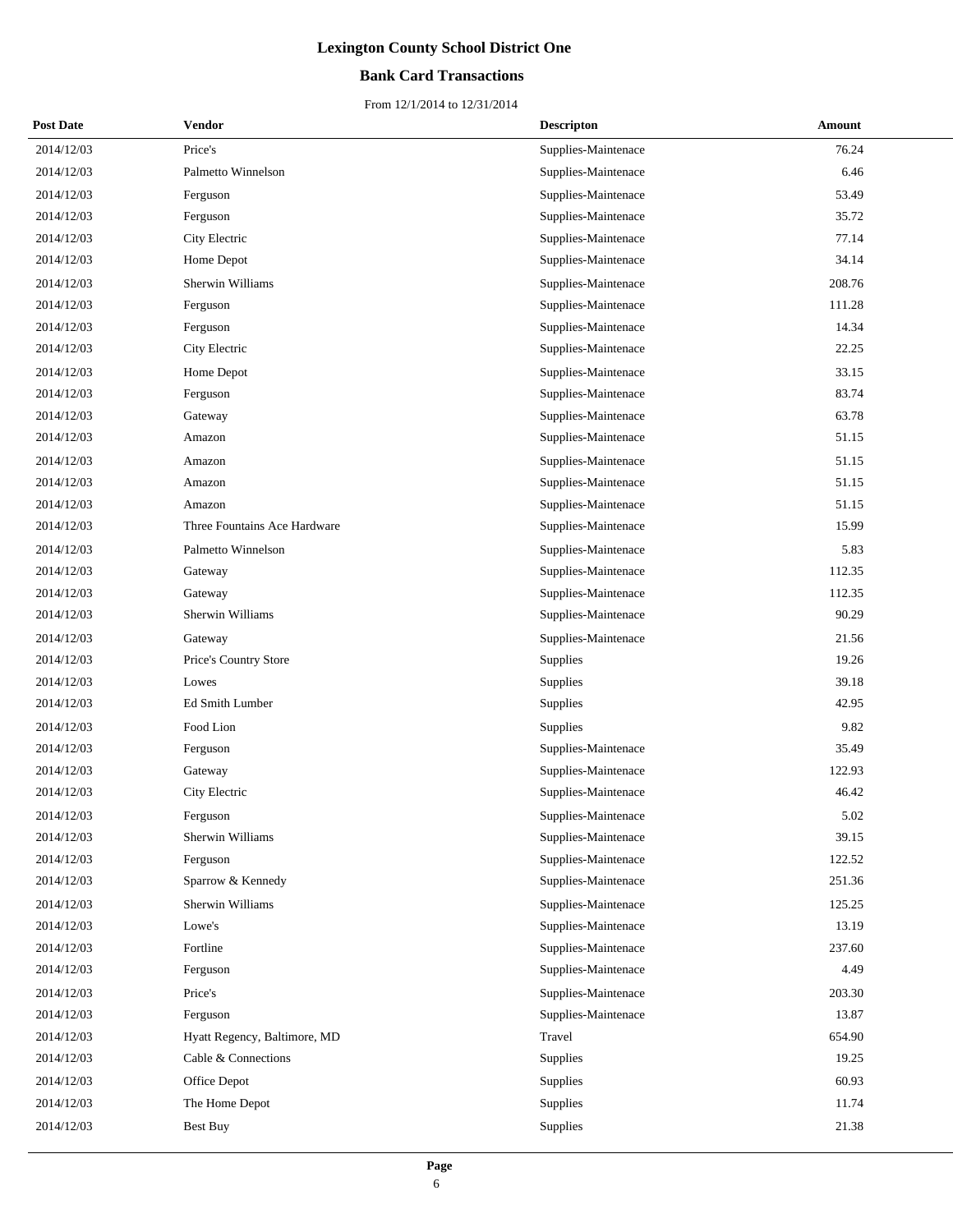## **Bank Card Transactions**

| <b>Post Date</b> | <b>Vendor</b>                | <b>Descripton</b>   | Amount |
|------------------|------------------------------|---------------------|--------|
| 2014/12/03       | Price's                      | Supplies-Maintenace | 76.24  |
| 2014/12/03       | Palmetto Winnelson           | Supplies-Maintenace | 6.46   |
| 2014/12/03       | Ferguson                     | Supplies-Maintenace | 53.49  |
| 2014/12/03       | Ferguson                     | Supplies-Maintenace | 35.72  |
| 2014/12/03       | City Electric                | Supplies-Maintenace | 77.14  |
| 2014/12/03       | Home Depot                   | Supplies-Maintenace | 34.14  |
| 2014/12/03       | Sherwin Williams             | Supplies-Maintenace | 208.76 |
| 2014/12/03       | Ferguson                     | Supplies-Maintenace | 111.28 |
| 2014/12/03       | Ferguson                     | Supplies-Maintenace | 14.34  |
| 2014/12/03       | City Electric                | Supplies-Maintenace | 22.25  |
| 2014/12/03       | Home Depot                   | Supplies-Maintenace | 33.15  |
| 2014/12/03       | Ferguson                     | Supplies-Maintenace | 83.74  |
| 2014/12/03       | Gateway                      | Supplies-Maintenace | 63.78  |
| 2014/12/03       | Amazon                       | Supplies-Maintenace | 51.15  |
| 2014/12/03       | Amazon                       | Supplies-Maintenace | 51.15  |
| 2014/12/03       | Amazon                       | Supplies-Maintenace | 51.15  |
| 2014/12/03       | Amazon                       | Supplies-Maintenace | 51.15  |
| 2014/12/03       | Three Fountains Ace Hardware | Supplies-Maintenace | 15.99  |
| 2014/12/03       | Palmetto Winnelson           | Supplies-Maintenace | 5.83   |
| 2014/12/03       | Gateway                      | Supplies-Maintenace | 112.35 |
| 2014/12/03       | Gateway                      | Supplies-Maintenace | 112.35 |
| 2014/12/03       | Sherwin Williams             | Supplies-Maintenace | 90.29  |
| 2014/12/03       | Gateway                      | Supplies-Maintenace | 21.56  |
| 2014/12/03       | Price's Country Store        | Supplies            | 19.26  |
| 2014/12/03       | Lowes                        | Supplies            | 39.18  |
| 2014/12/03       | Ed Smith Lumber              | Supplies            | 42.95  |
| 2014/12/03       | Food Lion                    | Supplies            | 9.82   |
| 2014/12/03       | Ferguson                     | Supplies-Maintenace | 35.49  |
| 2014/12/03       | Gateway                      | Supplies-Maintenace | 122.93 |
| 2014/12/03       | City Electric                | Supplies-Maintenace | 46.42  |
| 2014/12/03       | Ferguson                     | Supplies-Maintenace | 5.02   |
| 2014/12/03       | Sherwin Williams             | Supplies-Maintenace | 39.15  |
| 2014/12/03       | Ferguson                     | Supplies-Maintenace | 122.52 |
| 2014/12/03       | Sparrow & Kennedy            | Supplies-Maintenace | 251.36 |
| 2014/12/03       | Sherwin Williams             | Supplies-Maintenace | 125.25 |
| 2014/12/03       | Lowe's                       | Supplies-Maintenace | 13.19  |
| 2014/12/03       | Fortline                     | Supplies-Maintenace | 237.60 |
| 2014/12/03       | Ferguson                     | Supplies-Maintenace | 4.49   |
| 2014/12/03       | Price's                      | Supplies-Maintenace | 203.30 |
| 2014/12/03       | Ferguson                     | Supplies-Maintenace | 13.87  |
| 2014/12/03       | Hyatt Regency, Baltimore, MD | Travel              | 654.90 |
| 2014/12/03       | Cable & Connections          | Supplies            | 19.25  |
| 2014/12/03       | Office Depot                 | Supplies            | 60.93  |
| 2014/12/03       | The Home Depot               | Supplies            | 11.74  |
| 2014/12/03       | Best Buy                     | Supplies            | 21.38  |
|                  |                              |                     |        |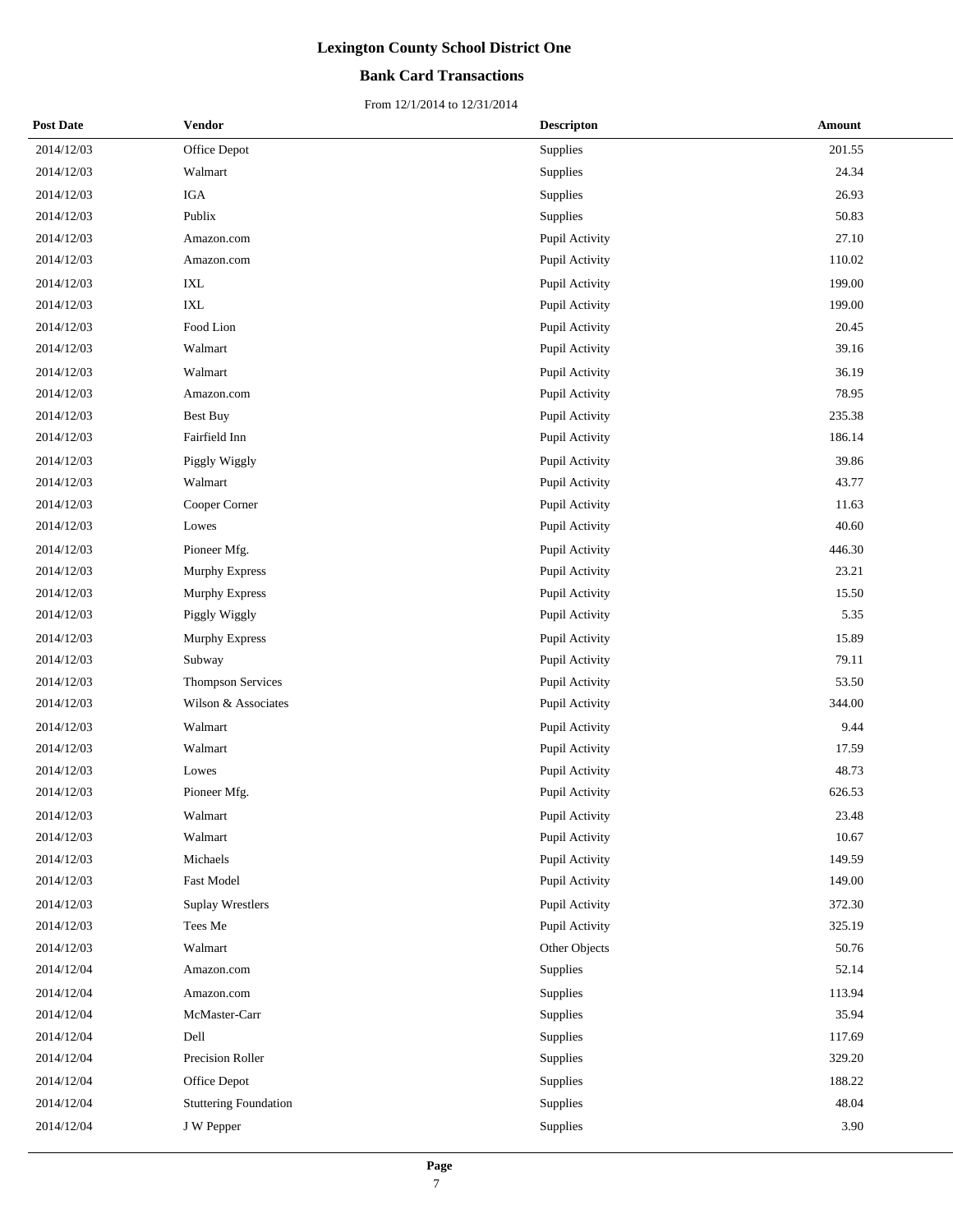## **Bank Card Transactions**

| <b>Post Date</b> | Vendor                       | <b>Descripton</b> | Amount |
|------------------|------------------------------|-------------------|--------|
| 2014/12/03       | Office Depot                 | Supplies          | 201.55 |
| 2014/12/03       | Walmart                      | Supplies          | 24.34  |
| 2014/12/03       | <b>IGA</b>                   | Supplies          | 26.93  |
| 2014/12/03       | Publix                       | Supplies          | 50.83  |
| 2014/12/03       | Amazon.com                   | Pupil Activity    | 27.10  |
| 2014/12/03       | Amazon.com                   | Pupil Activity    | 110.02 |
| 2014/12/03       | IXL                          | Pupil Activity    | 199.00 |
| 2014/12/03       | $\ensuremath{\text{IXL}}$    | Pupil Activity    | 199.00 |
| 2014/12/03       | Food Lion                    | Pupil Activity    | 20.45  |
| 2014/12/03       | Walmart                      | Pupil Activity    | 39.16  |
| 2014/12/03       | Walmart                      | Pupil Activity    | 36.19  |
| 2014/12/03       | Amazon.com                   | Pupil Activity    | 78.95  |
| 2014/12/03       | Best Buy                     | Pupil Activity    | 235.38 |
| 2014/12/03       | Fairfield Inn                | Pupil Activity    | 186.14 |
| 2014/12/03       | Piggly Wiggly                | Pupil Activity    | 39.86  |
| 2014/12/03       | Walmart                      | Pupil Activity    | 43.77  |
| 2014/12/03       | Cooper Corner                | Pupil Activity    | 11.63  |
| 2014/12/03       | Lowes                        | Pupil Activity    | 40.60  |
| 2014/12/03       | Pioneer Mfg.                 | Pupil Activity    | 446.30 |
| 2014/12/03       | Murphy Express               | Pupil Activity    | 23.21  |
| 2014/12/03       | <b>Murphy Express</b>        | Pupil Activity    | 15.50  |
| 2014/12/03       | Piggly Wiggly                | Pupil Activity    | 5.35   |
| 2014/12/03       | <b>Murphy Express</b>        | Pupil Activity    | 15.89  |
| 2014/12/03       | Subway                       | Pupil Activity    | 79.11  |
| 2014/12/03       | <b>Thompson Services</b>     | Pupil Activity    | 53.50  |
| 2014/12/03       | Wilson & Associates          | Pupil Activity    | 344.00 |
| 2014/12/03       | Walmart                      | Pupil Activity    | 9.44   |
| 2014/12/03       | Walmart                      | Pupil Activity    | 17.59  |
| 2014/12/03       | Lowes                        | Pupil Activity    | 48.73  |
| 2014/12/03       | Pioneer Mfg.                 | Pupil Activity    | 626.53 |
| 2014/12/03       | Walmart                      | Pupil Activity    | 23.48  |
| 2014/12/03       | Walmart                      | Pupil Activity    | 10.67  |
| 2014/12/03       | Michaels                     | Pupil Activity    | 149.59 |
| 2014/12/03       | <b>Fast Model</b>            | Pupil Activity    | 149.00 |
| 2014/12/03       | <b>Suplay Wrestlers</b>      | Pupil Activity    | 372.30 |
| 2014/12/03       | Tees Me                      | Pupil Activity    | 325.19 |
| 2014/12/03       | Walmart                      | Other Objects     | 50.76  |
| 2014/12/04       | Amazon.com                   | Supplies          | 52.14  |
| 2014/12/04       | Amazon.com                   | Supplies          | 113.94 |
| 2014/12/04       | McMaster-Carr                | Supplies          | 35.94  |
| 2014/12/04       | Dell                         | Supplies          | 117.69 |
| 2014/12/04       | Precision Roller             | Supplies          | 329.20 |
| 2014/12/04       | Office Depot                 | Supplies          | 188.22 |
| 2014/12/04       | <b>Stuttering Foundation</b> | Supplies          | 48.04  |
| 2014/12/04       | J W Pepper                   | Supplies          | 3.90   |
|                  |                              |                   |        |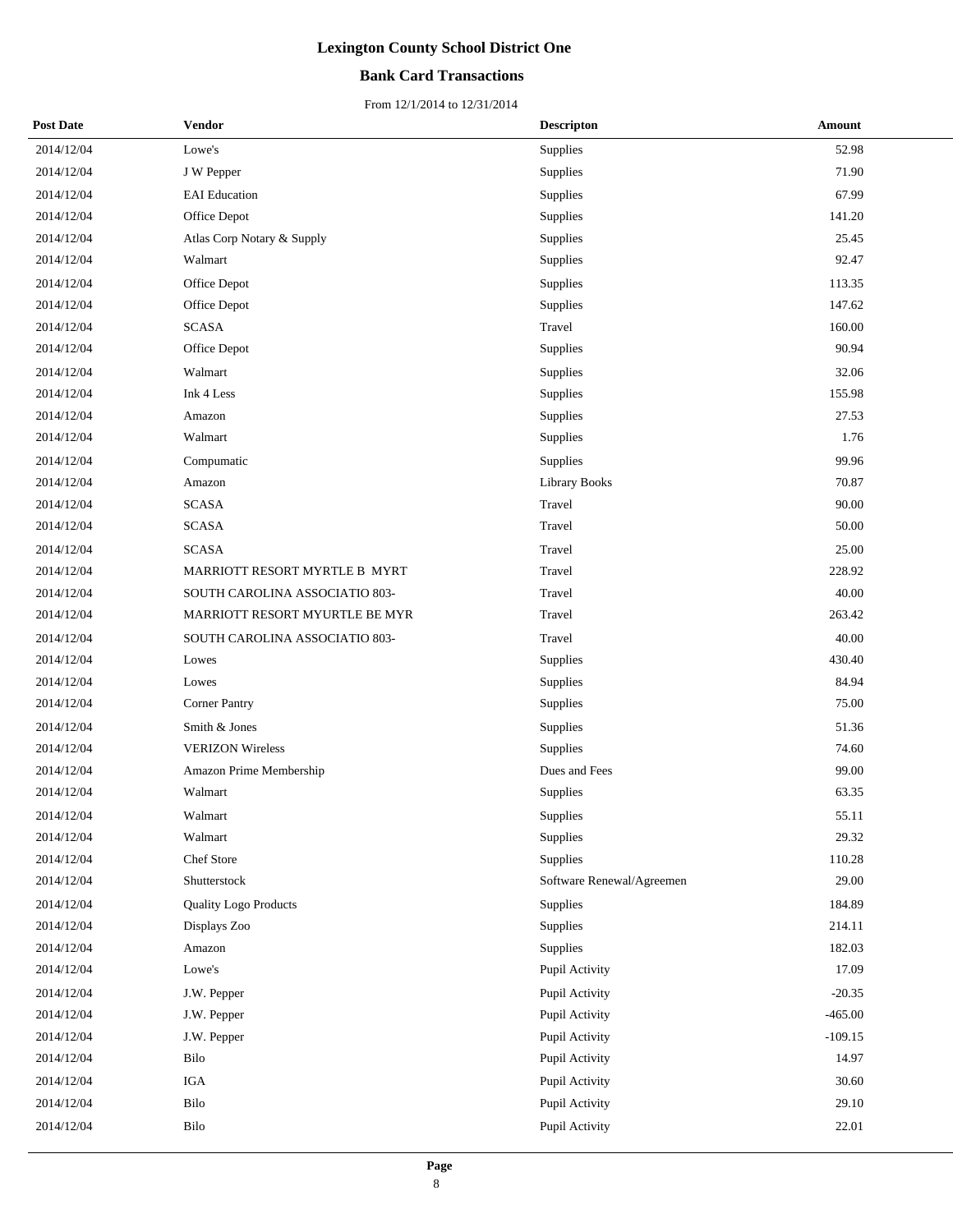## **Bank Card Transactions**

| <b>Post Date</b> | <b>Vendor</b>                  | <b>Descripton</b>         | Amount    |
|------------------|--------------------------------|---------------------------|-----------|
| 2014/12/04       | Lowe's                         | Supplies                  | 52.98     |
| 2014/12/04       | J W Pepper                     | Supplies                  | 71.90     |
| 2014/12/04       | <b>EAI</b> Education           | Supplies                  | 67.99     |
| 2014/12/04       | Office Depot                   | Supplies                  | 141.20    |
| 2014/12/04       | Atlas Corp Notary & Supply     | Supplies                  | 25.45     |
| 2014/12/04       | Walmart                        | Supplies                  | 92.47     |
| 2014/12/04       | Office Depot                   | Supplies                  | 113.35    |
| 2014/12/04       | Office Depot                   | Supplies                  | 147.62    |
| 2014/12/04       | <b>SCASA</b>                   | Travel                    | 160.00    |
| 2014/12/04       | Office Depot                   | Supplies                  | 90.94     |
| 2014/12/04       | Walmart                        | Supplies                  | 32.06     |
| 2014/12/04       | Ink 4 Less                     | Supplies                  | 155.98    |
| 2014/12/04       | Amazon                         | Supplies                  | 27.53     |
| 2014/12/04       | Walmart                        | Supplies                  | 1.76      |
| 2014/12/04       | Compumatic                     | Supplies                  | 99.96     |
| 2014/12/04       | Amazon                         | Library Books             | 70.87     |
| 2014/12/04       | <b>SCASA</b>                   | Travel                    | 90.00     |
| 2014/12/04       | <b>SCASA</b>                   | Travel                    | 50.00     |
| 2014/12/04       | <b>SCASA</b>                   | Travel                    | 25.00     |
| 2014/12/04       | MARRIOTT RESORT MYRTLE B MYRT  | Travel                    | 228.92    |
| 2014/12/04       | SOUTH CAROLINA ASSOCIATIO 803- | Travel                    | 40.00     |
| 2014/12/04       | MARRIOTT RESORT MYURTLE BE MYR | Travel                    | 263.42    |
| 2014/12/04       | SOUTH CAROLINA ASSOCIATIO 803- | Travel                    | 40.00     |
| 2014/12/04       | Lowes                          | Supplies                  | 430.40    |
| 2014/12/04       | Lowes                          | Supplies                  | 84.94     |
| 2014/12/04       | <b>Corner Pantry</b>           | Supplies                  | 75.00     |
| 2014/12/04       | Smith & Jones                  | Supplies                  | 51.36     |
| 2014/12/04       | <b>VERIZON Wireless</b>        | Supplies                  | 74.60     |
| 2014/12/04       | Amazon Prime Membership        | Dues and Fees             | 99.00     |
| 2014/12/04       | Walmart                        | Supplies                  | 63.35     |
| 2014/12/04       | Walmart                        | Supplies                  | 55.11     |
| 2014/12/04       | Walmart                        | Supplies                  | 29.32     |
| 2014/12/04       | Chef Store                     | Supplies                  | 110.28    |
| 2014/12/04       | Shutterstock                   | Software Renewal/Agreemen | 29.00     |
| 2014/12/04       | <b>Quality Logo Products</b>   | Supplies                  | 184.89    |
| 2014/12/04       | Displays Zoo                   | Supplies                  | 214.11    |
| 2014/12/04       | Amazon                         | Supplies                  | 182.03    |
| 2014/12/04       | Lowe's                         | Pupil Activity            | 17.09     |
| 2014/12/04       | J.W. Pepper                    | Pupil Activity            | $-20.35$  |
| 2014/12/04       | J.W. Pepper                    | Pupil Activity            | $-465.00$ |
| 2014/12/04       | J.W. Pepper                    | Pupil Activity            | $-109.15$ |
| 2014/12/04       | Bilo                           | Pupil Activity            | 14.97     |
| 2014/12/04       | IGA                            | Pupil Activity            | 30.60     |
| 2014/12/04       | Bilo                           | Pupil Activity            | 29.10     |
| 2014/12/04       | Bilo                           | Pupil Activity            | 22.01     |
|                  |                                |                           |           |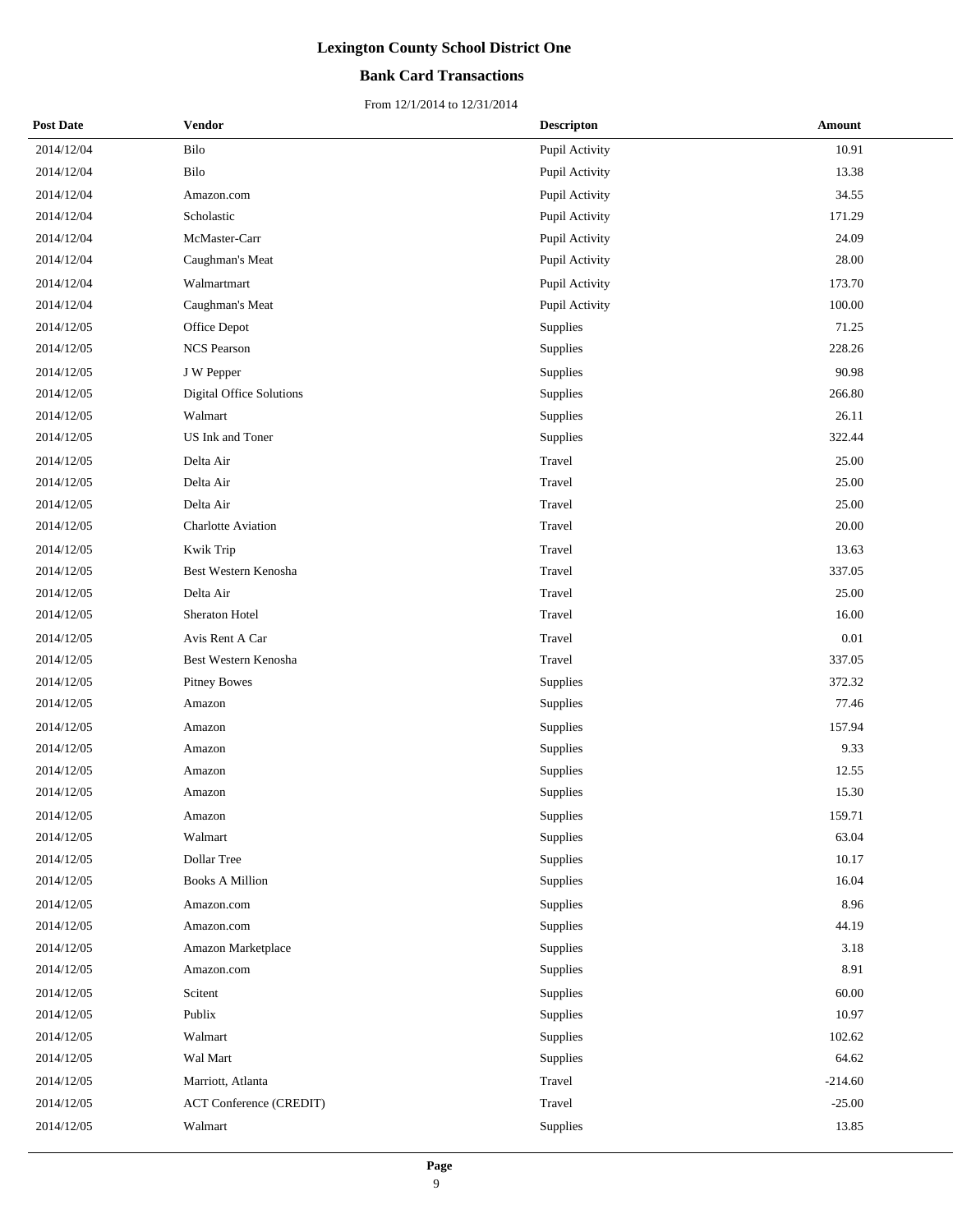## **Bank Card Transactions**

| <b>Post Date</b> | Vendor                         | <b>Descripton</b> | Amount    |
|------------------|--------------------------------|-------------------|-----------|
| 2014/12/04       | Bilo                           | Pupil Activity    | 10.91     |
| 2014/12/04       | Bilo                           | Pupil Activity    | 13.38     |
| 2014/12/04       | Amazon.com                     | Pupil Activity    | 34.55     |
| 2014/12/04       | Scholastic                     | Pupil Activity    | 171.29    |
| 2014/12/04       | McMaster-Carr                  | Pupil Activity    | 24.09     |
| 2014/12/04       | Caughman's Meat                | Pupil Activity    | 28.00     |
| 2014/12/04       | Walmartmart                    | Pupil Activity    | 173.70    |
| 2014/12/04       | Caughman's Meat                | Pupil Activity    | 100.00    |
| 2014/12/05       | Office Depot                   | Supplies          | 71.25     |
| 2014/12/05       | <b>NCS Pearson</b>             | Supplies          | 228.26    |
| 2014/12/05       | J W Pepper                     | Supplies          | 90.98     |
| 2014/12/05       | Digital Office Solutions       | Supplies          | 266.80    |
| 2014/12/05       | Walmart                        | Supplies          | 26.11     |
| 2014/12/05       | US Ink and Toner               | Supplies          | 322.44    |
| 2014/12/05       | Delta Air                      | Travel            | 25.00     |
| 2014/12/05       | Delta Air                      | Travel            | 25.00     |
| 2014/12/05       | Delta Air                      | Travel            | 25.00     |
| 2014/12/05       | <b>Charlotte Aviation</b>      | Travel            | 20.00     |
| 2014/12/05       | Kwik Trip                      | Travel            | 13.63     |
| 2014/12/05       | Best Western Kenosha           | Travel            | 337.05    |
| 2014/12/05       | Delta Air                      | Travel            | 25.00     |
| 2014/12/05       | Sheraton Hotel                 | Travel            | 16.00     |
| 2014/12/05       | Avis Rent A Car                | Travel            | $0.01\,$  |
| 2014/12/05       | Best Western Kenosha           | Travel            | 337.05    |
| 2014/12/05       | <b>Pitney Bowes</b>            | Supplies          | 372.32    |
| 2014/12/05       | Amazon                         | Supplies          | 77.46     |
| 2014/12/05       | Amazon                         | Supplies          | 157.94    |
| 2014/12/05       | Amazon                         | Supplies          | 9.33      |
| 2014/12/05       | Amazon                         | Supplies          | 12.55     |
| 2014/12/05       | Amazon                         | Supplies          | 15.30     |
| 2014/12/05       | Amazon                         | Supplies          | 159.71    |
| 2014/12/05       | Walmart                        | Supplies          | 63.04     |
| 2014/12/05       | Dollar Tree                    | Supplies          | 10.17     |
| 2014/12/05       | <b>Books A Million</b>         | Supplies          | 16.04     |
| 2014/12/05       | Amazon.com                     | Supplies          | 8.96      |
| 2014/12/05       | Amazon.com                     | Supplies          | 44.19     |
| 2014/12/05       | Amazon Marketplace             | Supplies          | 3.18      |
| 2014/12/05       | Amazon.com                     | Supplies          | 8.91      |
| 2014/12/05       | Scitent                        | Supplies          | 60.00     |
| 2014/12/05       | Publix                         | Supplies          | 10.97     |
| 2014/12/05       | Walmart                        | Supplies          | 102.62    |
| 2014/12/05       | Wal Mart                       | Supplies          | 64.62     |
| 2014/12/05       | Marriott, Atlanta              | Travel            | $-214.60$ |
| 2014/12/05       | <b>ACT Conference (CREDIT)</b> | Travel            | $-25.00$  |
| 2014/12/05       | Walmart                        | Supplies          | 13.85     |
|                  |                                |                   |           |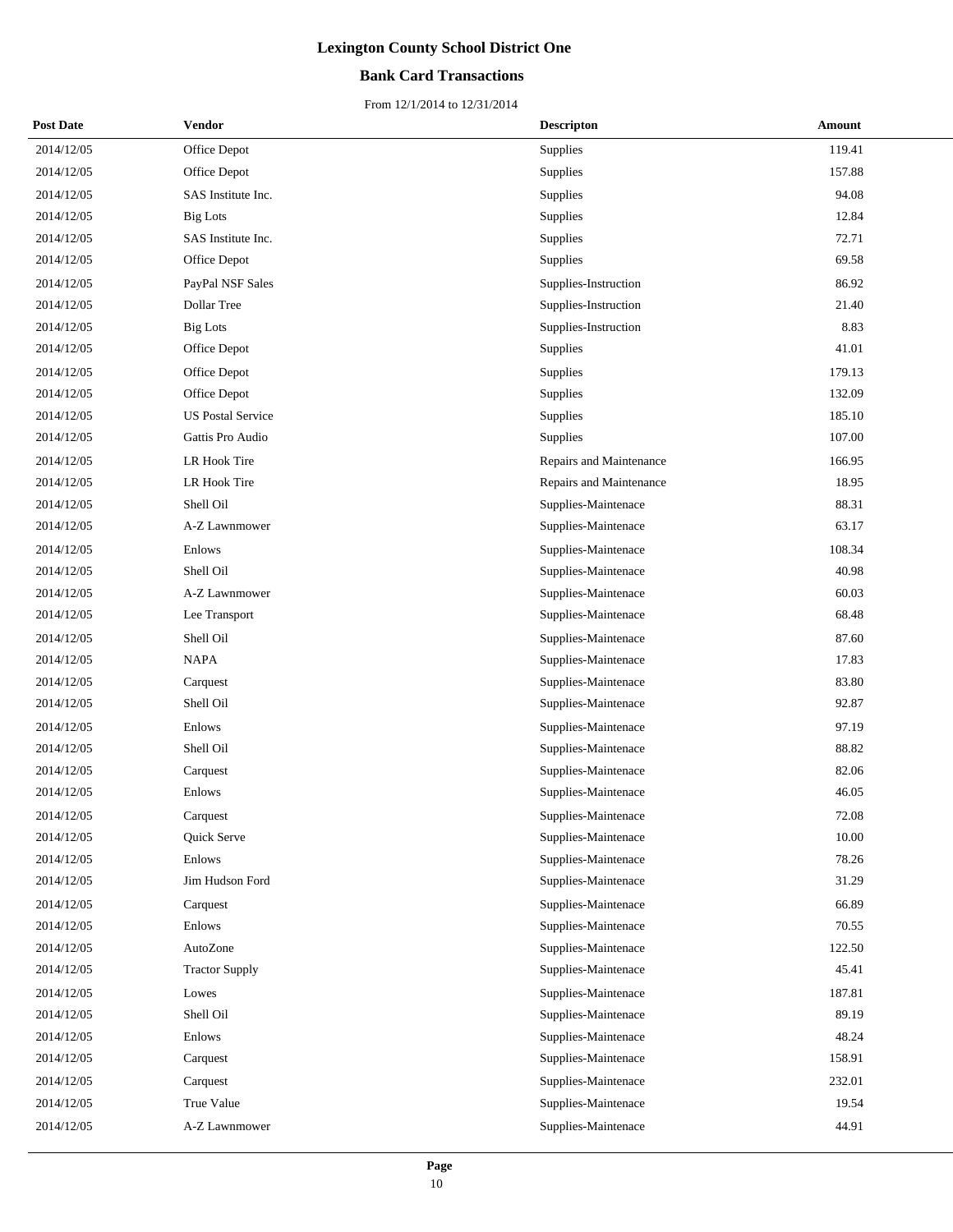## **Bank Card Transactions**

| <b>Post Date</b> | Vendor                   | <b>Descripton</b>       | Amount |
|------------------|--------------------------|-------------------------|--------|
| 2014/12/05       | Office Depot             | Supplies                | 119.41 |
| 2014/12/05       | Office Depot             | Supplies                | 157.88 |
| 2014/12/05       | SAS Institute Inc.       | Supplies                | 94.08  |
| 2014/12/05       | <b>Big Lots</b>          | Supplies                | 12.84  |
| 2014/12/05       | SAS Institute Inc.       | Supplies                | 72.71  |
| 2014/12/05       | Office Depot             | Supplies                | 69.58  |
| 2014/12/05       | PayPal NSF Sales         | Supplies-Instruction    | 86.92  |
| 2014/12/05       | Dollar Tree              | Supplies-Instruction    | 21.40  |
| 2014/12/05       | <b>Big Lots</b>          | Supplies-Instruction    | 8.83   |
| 2014/12/05       | Office Depot             | Supplies                | 41.01  |
| 2014/12/05       | Office Depot             | Supplies                | 179.13 |
| 2014/12/05       | Office Depot             | Supplies                | 132.09 |
| 2014/12/05       | <b>US Postal Service</b> | Supplies                | 185.10 |
| 2014/12/05       | Gattis Pro Audio         | Supplies                | 107.00 |
| 2014/12/05       | LR Hook Tire             | Repairs and Maintenance | 166.95 |
| 2014/12/05       | LR Hook Tire             | Repairs and Maintenance | 18.95  |
| 2014/12/05       | Shell Oil                | Supplies-Maintenace     | 88.31  |
| 2014/12/05       | A-Z Lawnmower            | Supplies-Maintenace     | 63.17  |
| 2014/12/05       | Enlows                   | Supplies-Maintenace     | 108.34 |
| 2014/12/05       | Shell Oil                | Supplies-Maintenace     | 40.98  |
| 2014/12/05       | A-Z Lawnmower            | Supplies-Maintenace     | 60.03  |
| 2014/12/05       | Lee Transport            | Supplies-Maintenace     | 68.48  |
| 2014/12/05       | Shell Oil                | Supplies-Maintenace     | 87.60  |
| 2014/12/05       | <b>NAPA</b>              | Supplies-Maintenace     | 17.83  |
| 2014/12/05       | Carquest                 | Supplies-Maintenace     | 83.80  |
| 2014/12/05       | Shell Oil                | Supplies-Maintenace     | 92.87  |
| 2014/12/05       | Enlows                   | Supplies-Maintenace     | 97.19  |
| 2014/12/05       | Shell Oil                | Supplies-Maintenace     | 88.82  |
| 2014/12/05       | Carquest                 | Supplies-Maintenace     | 82.06  |
| 2014/12/05       | Enlows                   | Supplies-Maintenace     | 46.05  |
| 2014/12/05       | Carquest                 | Supplies-Maintenace     | 72.08  |
| 2014/12/05       | Quick Serve              | Supplies-Maintenace     | 10.00  |
| 2014/12/05       | Enlows                   | Supplies-Maintenace     | 78.26  |
| 2014/12/05       | Jim Hudson Ford          | Supplies-Maintenace     | 31.29  |
| 2014/12/05       | Carquest                 | Supplies-Maintenace     | 66.89  |
| 2014/12/05       | Enlows                   | Supplies-Maintenace     | 70.55  |
| 2014/12/05       | AutoZone                 | Supplies-Maintenace     | 122.50 |
| 2014/12/05       | <b>Tractor Supply</b>    | Supplies-Maintenace     | 45.41  |
| 2014/12/05       | Lowes                    | Supplies-Maintenace     | 187.81 |
| 2014/12/05       | Shell Oil                | Supplies-Maintenace     | 89.19  |
| 2014/12/05       | Enlows                   | Supplies-Maintenace     | 48.24  |
| 2014/12/05       | Carquest                 | Supplies-Maintenace     | 158.91 |
| 2014/12/05       | Carquest                 | Supplies-Maintenace     | 232.01 |
| 2014/12/05       | True Value               | Supplies-Maintenace     | 19.54  |
| 2014/12/05       | A-Z Lawnmower            | Supplies-Maintenace     | 44.91  |
|                  |                          |                         |        |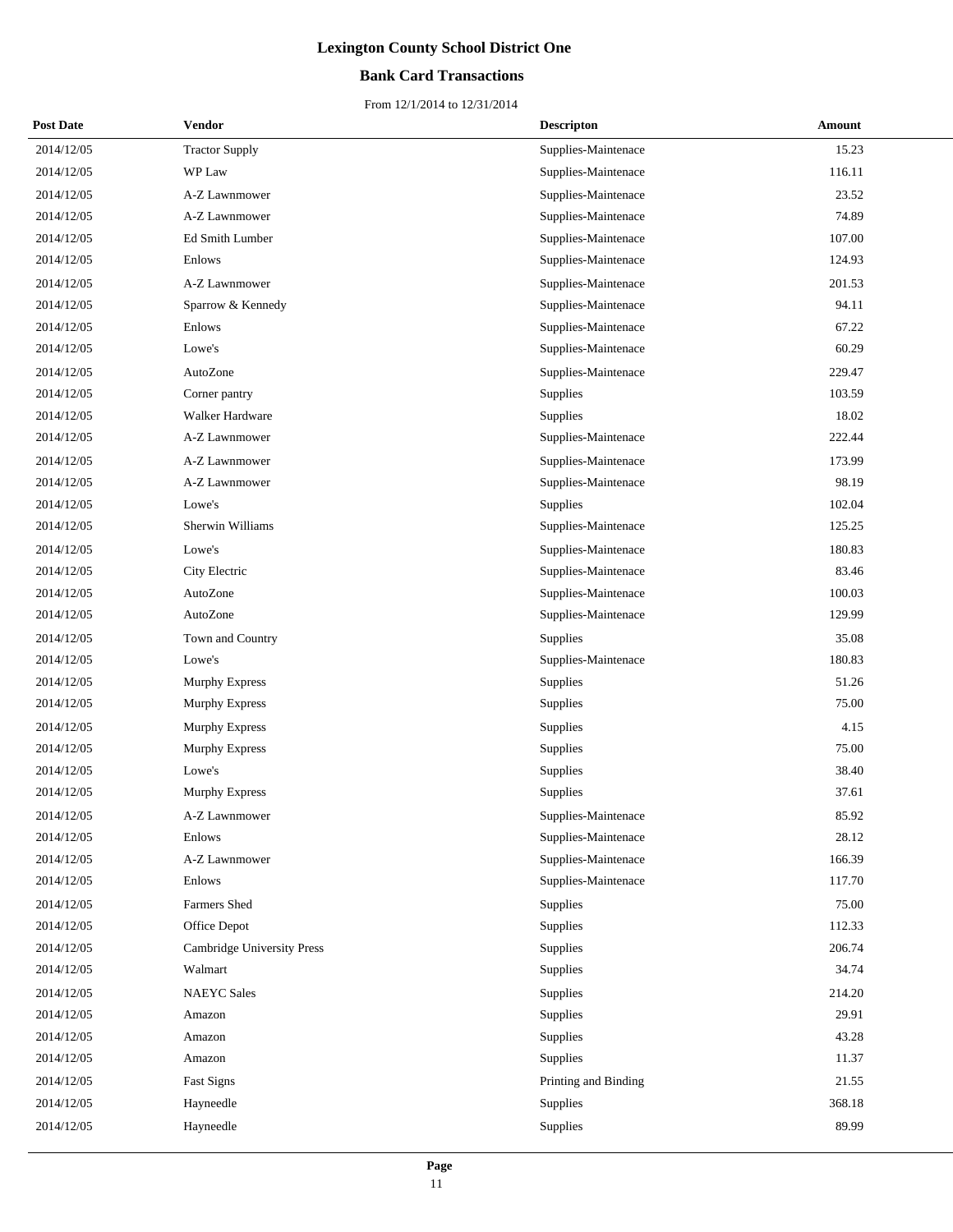## **Bank Card Transactions**

| <b>Post Date</b> | Vendor                     | <b>Descripton</b>    | Amount |
|------------------|----------------------------|----------------------|--------|
| 2014/12/05       | <b>Tractor Supply</b>      | Supplies-Maintenace  | 15.23  |
| 2014/12/05       | WP Law                     | Supplies-Maintenace  | 116.11 |
| 2014/12/05       | A-Z Lawnmower              | Supplies-Maintenace  | 23.52  |
| 2014/12/05       | A-Z Lawnmower              | Supplies-Maintenace  | 74.89  |
| 2014/12/05       | Ed Smith Lumber            | Supplies-Maintenace  | 107.00 |
| 2014/12/05       | Enlows                     | Supplies-Maintenace  | 124.93 |
| 2014/12/05       | A-Z Lawnmower              | Supplies-Maintenace  | 201.53 |
| 2014/12/05       | Sparrow & Kennedy          | Supplies-Maintenace  | 94.11  |
| 2014/12/05       | Enlows                     | Supplies-Maintenace  | 67.22  |
| 2014/12/05       | Lowe's                     | Supplies-Maintenace  | 60.29  |
| 2014/12/05       | AutoZone                   | Supplies-Maintenace  | 229.47 |
| 2014/12/05       | Corner pantry              | Supplies             | 103.59 |
| 2014/12/05       | Walker Hardware            | Supplies             | 18.02  |
| 2014/12/05       | A-Z Lawnmower              | Supplies-Maintenace  | 222.44 |
| 2014/12/05       | A-Z Lawnmower              | Supplies-Maintenace  | 173.99 |
| 2014/12/05       | A-Z Lawnmower              | Supplies-Maintenace  | 98.19  |
| 2014/12/05       | Lowe's                     | Supplies             | 102.04 |
| 2014/12/05       | Sherwin Williams           | Supplies-Maintenace  | 125.25 |
| 2014/12/05       | Lowe's                     | Supplies-Maintenace  | 180.83 |
| 2014/12/05       | City Electric              | Supplies-Maintenace  | 83.46  |
| 2014/12/05       | AutoZone                   | Supplies-Maintenace  | 100.03 |
| 2014/12/05       | AutoZone                   | Supplies-Maintenace  | 129.99 |
| 2014/12/05       | Town and Country           | Supplies             | 35.08  |
| 2014/12/05       | Lowe's                     | Supplies-Maintenace  | 180.83 |
| 2014/12/05       | Murphy Express             | Supplies             | 51.26  |
| 2014/12/05       | <b>Murphy Express</b>      | Supplies             | 75.00  |
| 2014/12/05       | Murphy Express             | Supplies             | 4.15   |
| 2014/12/05       | Murphy Express             | Supplies             | 75.00  |
| 2014/12/05       | Lowe's                     | Supplies             | 38.40  |
| 2014/12/05       | <b>Murphy Express</b>      | Supplies             | 37.61  |
| 2014/12/05       | A-Z Lawnmower              | Supplies-Maintenace  | 85.92  |
| 2014/12/05       | Enlows                     | Supplies-Maintenace  | 28.12  |
| 2014/12/05       | A-Z Lawnmower              | Supplies-Maintenace  | 166.39 |
| 2014/12/05       | Enlows                     | Supplies-Maintenace  | 117.70 |
| 2014/12/05       | Farmers Shed               | Supplies             | 75.00  |
| 2014/12/05       | Office Depot               | Supplies             | 112.33 |
| 2014/12/05       | Cambridge University Press | Supplies             | 206.74 |
| 2014/12/05       | Walmart                    | Supplies             | 34.74  |
| 2014/12/05       | <b>NAEYC</b> Sales         | Supplies             | 214.20 |
| 2014/12/05       | Amazon                     | Supplies             | 29.91  |
| 2014/12/05       | Amazon                     | Supplies             | 43.28  |
| 2014/12/05       | Amazon                     | Supplies             | 11.37  |
| 2014/12/05       | Fast Signs                 | Printing and Binding | 21.55  |
| 2014/12/05       | Hayneedle                  | Supplies             | 368.18 |
| 2014/12/05       | Hayneedle                  | Supplies             | 89.99  |
|                  |                            |                      |        |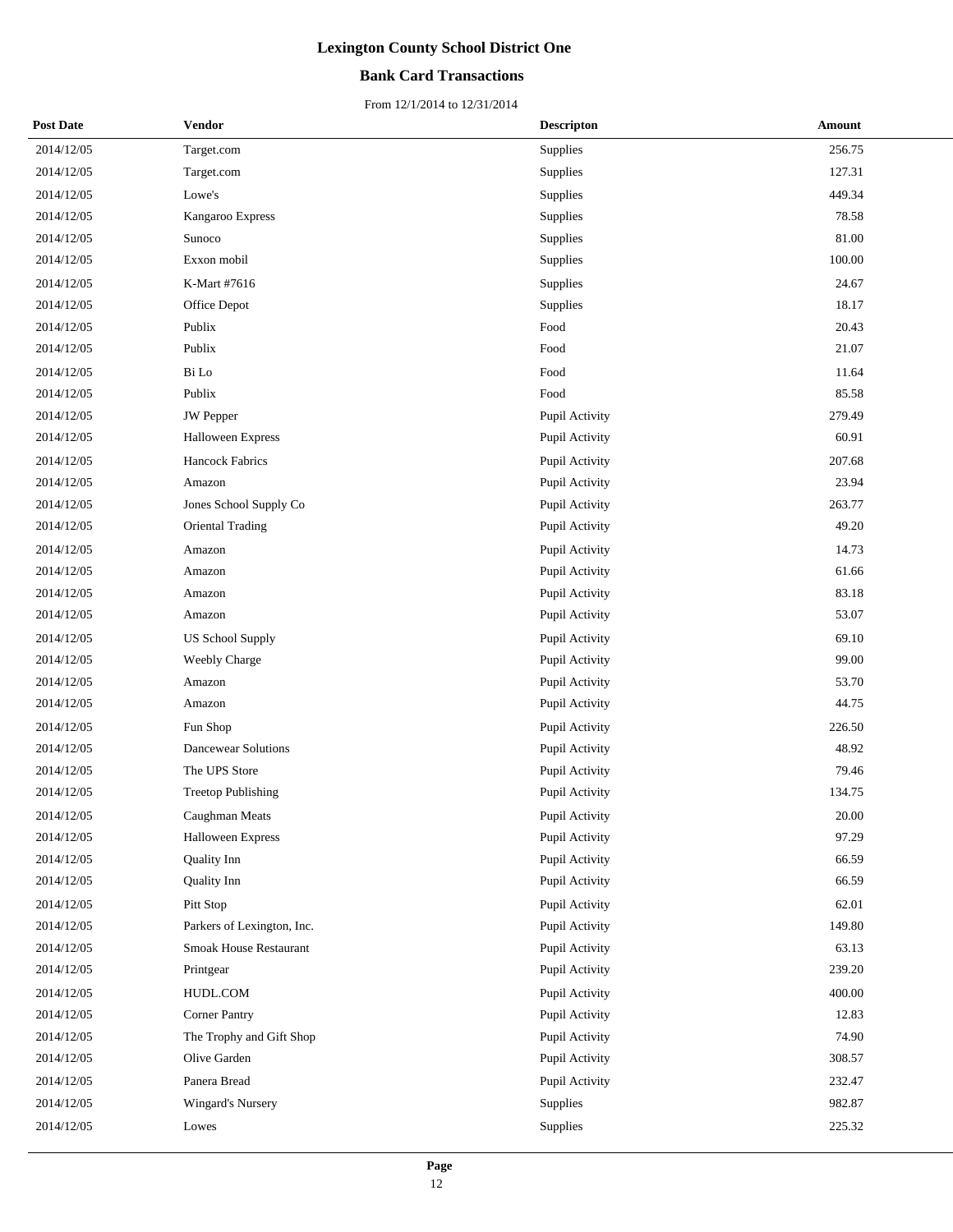## **Bank Card Transactions**

| <b>Post Date</b> | <b>Vendor</b>              | <b>Descripton</b> | Amount |
|------------------|----------------------------|-------------------|--------|
| 2014/12/05       | Target.com                 | Supplies          | 256.75 |
| 2014/12/05       | Target.com                 | Supplies          | 127.31 |
| 2014/12/05       | Lowe's                     | Supplies          | 449.34 |
| 2014/12/05       | Kangaroo Express           | Supplies          | 78.58  |
| 2014/12/05       | Sunoco                     | Supplies          | 81.00  |
| 2014/12/05       | Exxon mobil                | Supplies          | 100.00 |
| 2014/12/05       | K-Mart #7616               | Supplies          | 24.67  |
| 2014/12/05       | Office Depot               | Supplies          | 18.17  |
| 2014/12/05       | Publix                     | Food              | 20.43  |
| 2014/12/05       | Publix                     | Food              | 21.07  |
| 2014/12/05       | Bi Lo                      | Food              | 11.64  |
| 2014/12/05       | Publix                     | Food              | 85.58  |
| 2014/12/05       | JW Pepper                  | Pupil Activity    | 279.49 |
| 2014/12/05       | Halloween Express          | Pupil Activity    | 60.91  |
| 2014/12/05       | <b>Hancock Fabrics</b>     | Pupil Activity    | 207.68 |
| 2014/12/05       | Amazon                     | Pupil Activity    | 23.94  |
| 2014/12/05       | Jones School Supply Co     | Pupil Activity    | 263.77 |
| 2014/12/05       | Oriental Trading           | Pupil Activity    | 49.20  |
| 2014/12/05       | Amazon                     | Pupil Activity    | 14.73  |
| 2014/12/05       | Amazon                     | Pupil Activity    | 61.66  |
| 2014/12/05       | Amazon                     | Pupil Activity    | 83.18  |
| 2014/12/05       | Amazon                     | Pupil Activity    | 53.07  |
| 2014/12/05       | <b>US School Supply</b>    | Pupil Activity    | 69.10  |
| 2014/12/05       | Weebly Charge              | Pupil Activity    | 99.00  |
| 2014/12/05       | Amazon                     | Pupil Activity    | 53.70  |
| 2014/12/05       | Amazon                     | Pupil Activity    | 44.75  |
| 2014/12/05       | Fun Shop                   | Pupil Activity    | 226.50 |
| 2014/12/05       | <b>Dancewear Solutions</b> | Pupil Activity    | 48.92  |
| 2014/12/05       | The UPS Store              | Pupil Activity    | 79.46  |
| 2014/12/05       | <b>Treetop Publishing</b>  | Pupil Activity    | 134.75 |
| 2014/12/05       | Caughman Meats             | Pupil Activity    | 20.00  |
| 2014/12/05       | Halloween Express          | Pupil Activity    | 97.29  |
| 2014/12/05       | Quality Inn                | Pupil Activity    | 66.59  |
| 2014/12/05       | Quality Inn                | Pupil Activity    | 66.59  |
| 2014/12/05       | Pitt Stop                  | Pupil Activity    | 62.01  |
| 2014/12/05       | Parkers of Lexington, Inc. | Pupil Activity    | 149.80 |
| 2014/12/05       | Smoak House Restaurant     | Pupil Activity    | 63.13  |
| 2014/12/05       | Printgear                  | Pupil Activity    | 239.20 |
| 2014/12/05       | HUDL.COM                   | Pupil Activity    | 400.00 |
| 2014/12/05       | <b>Corner Pantry</b>       | Pupil Activity    | 12.83  |
| 2014/12/05       | The Trophy and Gift Shop   | Pupil Activity    | 74.90  |
| 2014/12/05       | Olive Garden               | Pupil Activity    | 308.57 |
| 2014/12/05       | Panera Bread               | Pupil Activity    | 232.47 |
| 2014/12/05       | Wingard's Nursery          | Supplies          | 982.87 |
| 2014/12/05       | Lowes                      | Supplies          | 225.32 |
|                  |                            |                   |        |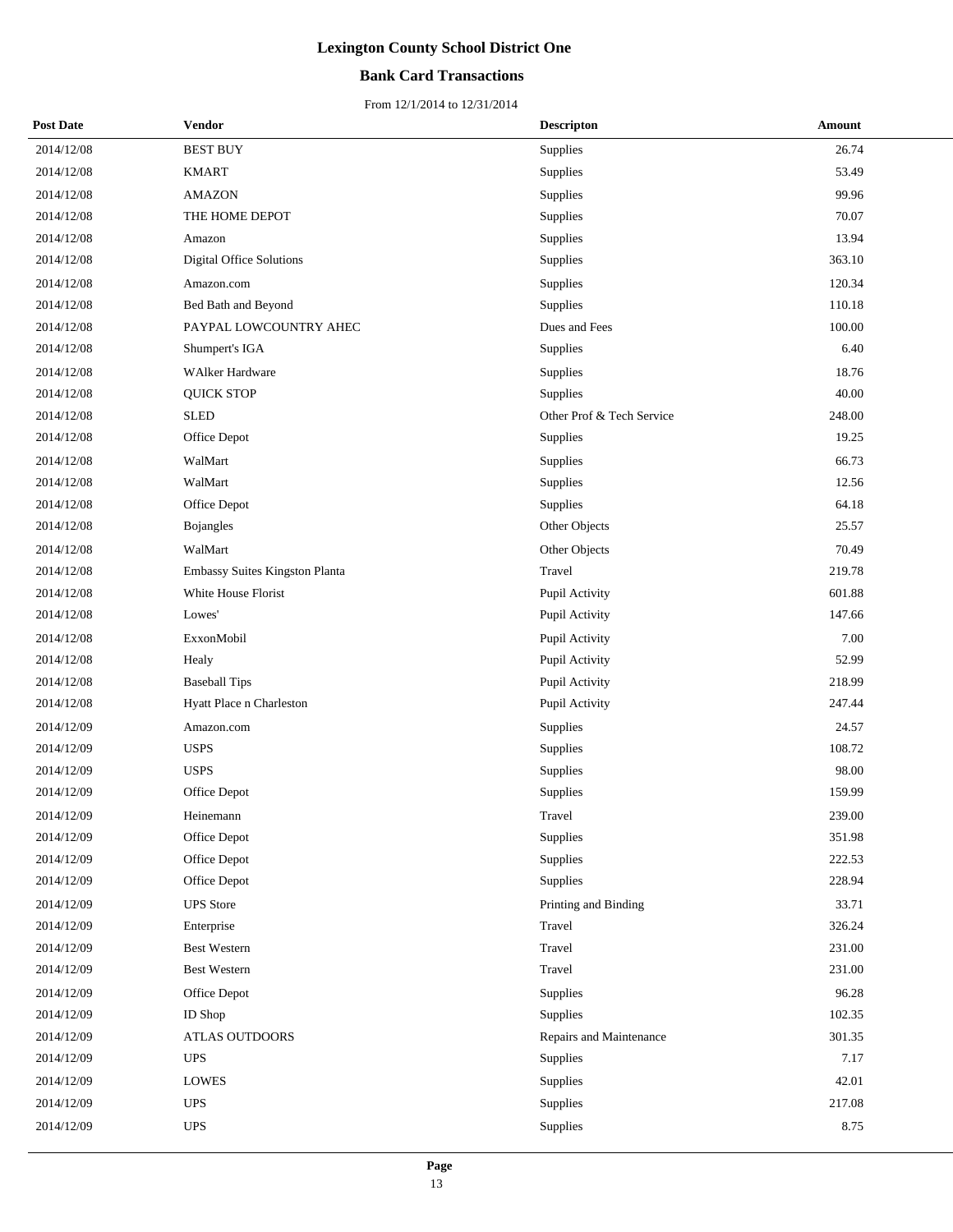## **Bank Card Transactions**

| <b>Post Date</b> | <b>Vendor</b>                  | <b>Descripton</b>         | Amount |
|------------------|--------------------------------|---------------------------|--------|
| 2014/12/08       | <b>BEST BUY</b>                | Supplies                  | 26.74  |
| 2014/12/08       | <b>KMART</b>                   | Supplies                  | 53.49  |
| 2014/12/08       | <b>AMAZON</b>                  | Supplies                  | 99.96  |
| 2014/12/08       | THE HOME DEPOT                 | Supplies                  | 70.07  |
| 2014/12/08       | Amazon                         | Supplies                  | 13.94  |
| 2014/12/08       | Digital Office Solutions       | Supplies                  | 363.10 |
| 2014/12/08       | Amazon.com                     | Supplies                  | 120.34 |
| 2014/12/08       | Bed Bath and Beyond            | Supplies                  | 110.18 |
| 2014/12/08       | PAYPAL LOWCOUNTRY AHEC         | Dues and Fees             | 100.00 |
| 2014/12/08       | Shumpert's IGA                 | Supplies                  | 6.40   |
| 2014/12/08       | <b>WAlker Hardware</b>         | Supplies                  | 18.76  |
| 2014/12/08       | <b>QUICK STOP</b>              | Supplies                  | 40.00  |
| 2014/12/08       | <b>SLED</b>                    | Other Prof & Tech Service | 248.00 |
| 2014/12/08       | Office Depot                   | Supplies                  | 19.25  |
| 2014/12/08       | WalMart                        | Supplies                  | 66.73  |
| 2014/12/08       | WalMart                        | Supplies                  | 12.56  |
| 2014/12/08       | Office Depot                   | Supplies                  | 64.18  |
| 2014/12/08       | Bojangles                      | Other Objects             | 25.57  |
| 2014/12/08       | WalMart                        | Other Objects             | 70.49  |
| 2014/12/08       | Embassy Suites Kingston Planta | Travel                    | 219.78 |
| 2014/12/08       | White House Florist            | Pupil Activity            | 601.88 |
| 2014/12/08       | Lowes'                         | Pupil Activity            | 147.66 |
| 2014/12/08       | ExxonMobil                     | Pupil Activity            | 7.00   |
| 2014/12/08       | Healy                          | Pupil Activity            | 52.99  |
| 2014/12/08       | <b>Baseball Tips</b>           | Pupil Activity            | 218.99 |
| 2014/12/08       | Hyatt Place n Charleston       | Pupil Activity            | 247.44 |
| 2014/12/09       | Amazon.com                     | Supplies                  | 24.57  |
| 2014/12/09       | <b>USPS</b>                    | Supplies                  | 108.72 |
| 2014/12/09       | <b>USPS</b>                    | Supplies                  | 98.00  |
| 2014/12/09       | Office Depot                   | Supplies                  | 159.99 |
| 2014/12/09       | Heinemann                      | Travel                    | 239.00 |
| 2014/12/09       | Office Depot                   | Supplies                  | 351.98 |
| 2014/12/09       | Office Depot                   | Supplies                  | 222.53 |
| 2014/12/09       | Office Depot                   | Supplies                  | 228.94 |
| 2014/12/09       | <b>UPS</b> Store               | Printing and Binding      | 33.71  |
| 2014/12/09       | Enterprise                     | Travel                    | 326.24 |
| 2014/12/09       | <b>Best Western</b>            | Travel                    | 231.00 |
| 2014/12/09       | <b>Best Western</b>            | Travel                    | 231.00 |
| 2014/12/09       | Office Depot                   | Supplies                  | 96.28  |
| 2014/12/09       | ID Shop                        | Supplies                  | 102.35 |
| 2014/12/09       | ATLAS OUTDOORS                 | Repairs and Maintenance   | 301.35 |
| 2014/12/09       | <b>UPS</b>                     | Supplies                  | 7.17   |
| 2014/12/09       | LOWES                          | Supplies                  | 42.01  |
| 2014/12/09       | <b>UPS</b>                     | Supplies                  | 217.08 |
| 2014/12/09       | <b>UPS</b>                     | Supplies                  | 8.75   |
|                  |                                |                           |        |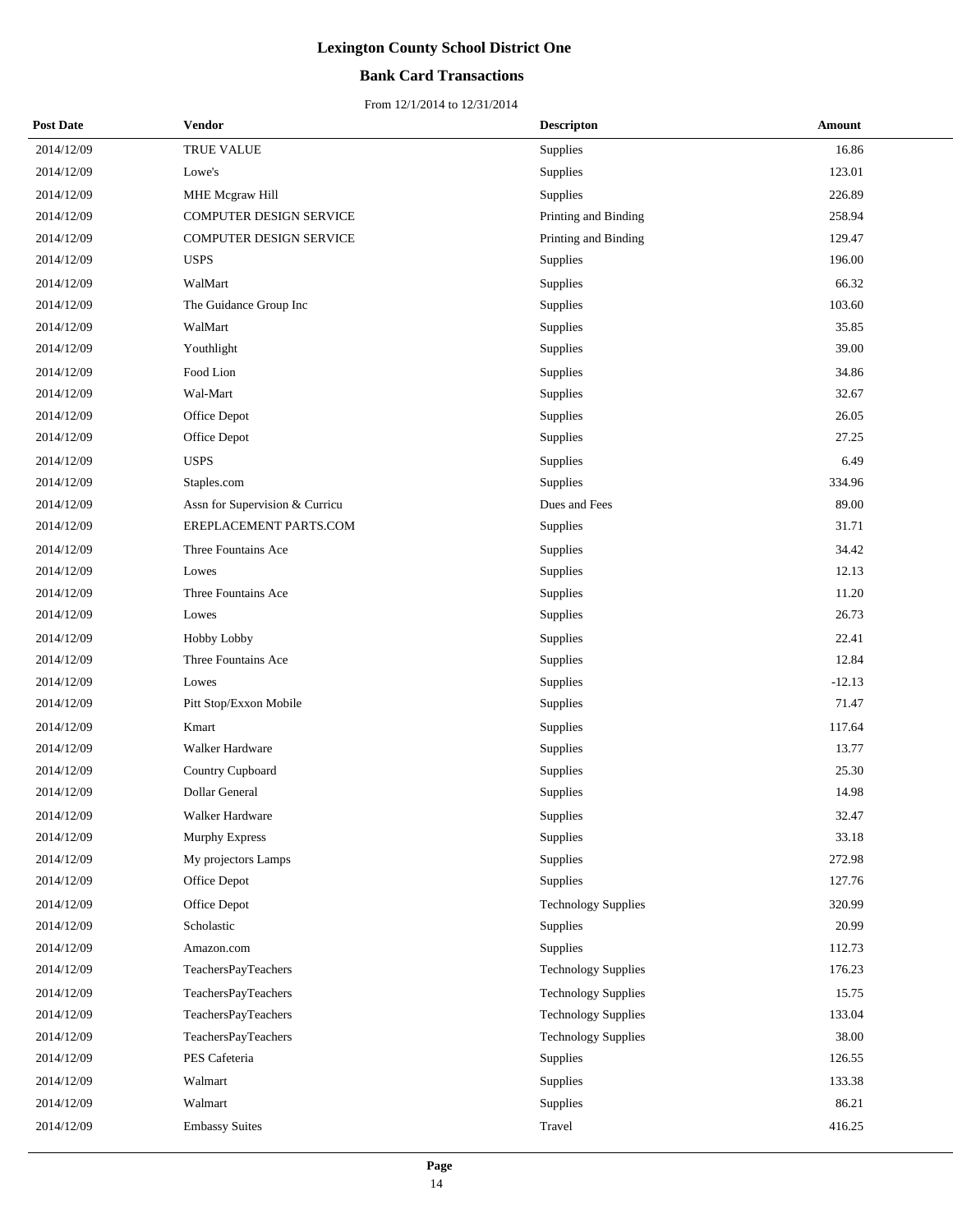## **Bank Card Transactions**

| <b>Post Date</b> | Vendor                         | <b>Descripton</b>          | Amount   |
|------------------|--------------------------------|----------------------------|----------|
| 2014/12/09       | TRUE VALUE                     | Supplies                   | 16.86    |
| 2014/12/09       | Lowe's                         | Supplies                   | 123.01   |
| 2014/12/09       | MHE Mcgraw Hill                | Supplies                   | 226.89   |
| 2014/12/09       | COMPUTER DESIGN SERVICE        | Printing and Binding       | 258.94   |
| 2014/12/09       | COMPUTER DESIGN SERVICE        | Printing and Binding       | 129.47   |
| 2014/12/09       | <b>USPS</b>                    | Supplies                   | 196.00   |
| 2014/12/09       | WalMart                        | Supplies                   | 66.32    |
| 2014/12/09       | The Guidance Group Inc         | Supplies                   | 103.60   |
| 2014/12/09       | WalMart                        | Supplies                   | 35.85    |
| 2014/12/09       | Youthlight                     | Supplies                   | 39.00    |
| 2014/12/09       | Food Lion                      | Supplies                   | 34.86    |
| 2014/12/09       | Wal-Mart                       | Supplies                   | 32.67    |
| 2014/12/09       | Office Depot                   | Supplies                   | 26.05    |
| 2014/12/09       | Office Depot                   | Supplies                   | 27.25    |
| 2014/12/09       | <b>USPS</b>                    | Supplies                   | 6.49     |
| 2014/12/09       | Staples.com                    | Supplies                   | 334.96   |
| 2014/12/09       | Assn for Supervision & Curricu | Dues and Fees              | 89.00    |
| 2014/12/09       | EREPLACEMENT PARTS.COM         | Supplies                   | 31.71    |
| 2014/12/09       | Three Fountains Ace            | Supplies                   | 34.42    |
| 2014/12/09       | Lowes                          | Supplies                   | 12.13    |
| 2014/12/09       | Three Fountains Ace            | Supplies                   | 11.20    |
| 2014/12/09       | Lowes                          | Supplies                   | 26.73    |
| 2014/12/09       | Hobby Lobby                    | Supplies                   | 22.41    |
| 2014/12/09       | Three Fountains Ace            | Supplies                   | 12.84    |
| 2014/12/09       | Lowes                          | Supplies                   | $-12.13$ |
| 2014/12/09       | Pitt Stop/Exxon Mobile         | Supplies                   | 71.47    |
| 2014/12/09       | Kmart                          | Supplies                   | 117.64   |
| 2014/12/09       | Walker Hardware                | Supplies                   | 13.77    |
| 2014/12/09       | Country Cupboard               | Supplies                   | 25.30    |
| 2014/12/09       | Dollar General                 | Supplies                   | 14.98    |
| 2014/12/09       | Walker Hardware                | Supplies                   | 32.47    |
| 2014/12/09       | Murphy Express                 | Supplies                   | 33.18    |
| 2014/12/09       | My projectors Lamps            | Supplies                   | 272.98   |
| 2014/12/09       | Office Depot                   | Supplies                   | 127.76   |
| 2014/12/09       | Office Depot                   | <b>Technology Supplies</b> | 320.99   |
| 2014/12/09       | Scholastic                     | Supplies                   | 20.99    |
| 2014/12/09       | Amazon.com                     | Supplies                   | 112.73   |
| 2014/12/09       | TeachersPayTeachers            | <b>Technology Supplies</b> | 176.23   |
| 2014/12/09       | TeachersPayTeachers            | <b>Technology Supplies</b> | 15.75    |
| 2014/12/09       | TeachersPayTeachers            | <b>Technology Supplies</b> | 133.04   |
| 2014/12/09       | TeachersPayTeachers            | <b>Technology Supplies</b> | 38.00    |
| 2014/12/09       | PES Cafeteria                  | Supplies                   | 126.55   |
| 2014/12/09       | Walmart                        | Supplies                   | 133.38   |
| 2014/12/09       | Walmart                        | Supplies                   | 86.21    |
| 2014/12/09       | <b>Embassy Suites</b>          | Travel                     | 416.25   |
|                  |                                |                            |          |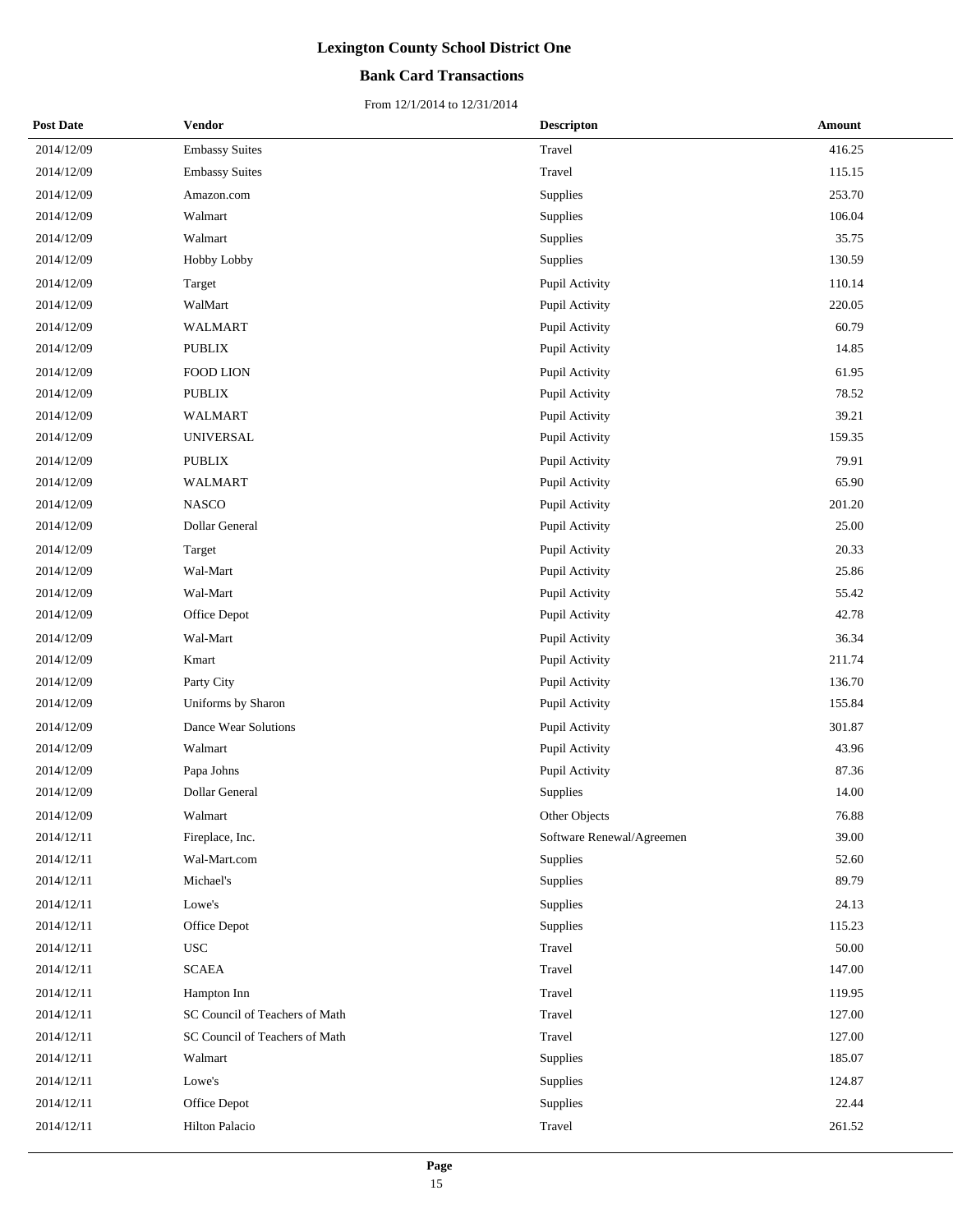## **Bank Card Transactions**

| <b>Post Date</b> | Vendor                         | <b>Descripton</b>         | <b>Amount</b> |
|------------------|--------------------------------|---------------------------|---------------|
| 2014/12/09       | <b>Embassy Suites</b>          | Travel                    | 416.25        |
| 2014/12/09       | <b>Embassy Suites</b>          | Travel                    | 115.15        |
| 2014/12/09       | Amazon.com                     | Supplies                  | 253.70        |
| 2014/12/09       | Walmart                        | Supplies                  | 106.04        |
| 2014/12/09       | Walmart                        | Supplies                  | 35.75         |
| 2014/12/09       | Hobby Lobby                    | Supplies                  | 130.59        |
| 2014/12/09       | Target                         | Pupil Activity            | 110.14        |
| 2014/12/09       | WalMart                        | Pupil Activity            | 220.05        |
| 2014/12/09       | WALMART                        | Pupil Activity            | 60.79         |
| 2014/12/09       | PUBLIX                         | Pupil Activity            | 14.85         |
| 2014/12/09       | <b>FOOD LION</b>               | Pupil Activity            | 61.95         |
| 2014/12/09       | <b>PUBLIX</b>                  | Pupil Activity            | 78.52         |
| 2014/12/09       | WALMART                        | Pupil Activity            | 39.21         |
| 2014/12/09       | <b>UNIVERSAL</b>               | Pupil Activity            | 159.35        |
| 2014/12/09       | <b>PUBLIX</b>                  | Pupil Activity            | 79.91         |
| 2014/12/09       | <b>WALMART</b>                 | Pupil Activity            | 65.90         |
| 2014/12/09       | <b>NASCO</b>                   | Pupil Activity            | 201.20        |
| 2014/12/09       | <b>Dollar General</b>          | Pupil Activity            | 25.00         |
| 2014/12/09       | Target                         | Pupil Activity            | 20.33         |
| 2014/12/09       | Wal-Mart                       | Pupil Activity            | 25.86         |
| 2014/12/09       | Wal-Mart                       | Pupil Activity            | 55.42         |
| 2014/12/09       | Office Depot                   | Pupil Activity            | 42.78         |
| 2014/12/09       | Wal-Mart                       | Pupil Activity            | 36.34         |
| 2014/12/09       | Kmart                          | Pupil Activity            | 211.74        |
| 2014/12/09       | Party City                     | Pupil Activity            | 136.70        |
| 2014/12/09       | Uniforms by Sharon             | Pupil Activity            | 155.84        |
| 2014/12/09       | Dance Wear Solutions           | Pupil Activity            | 301.87        |
| 2014/12/09       | Walmart                        | Pupil Activity            | 43.96         |
| 2014/12/09       | Papa Johns                     | Pupil Activity            | 87.36         |
| 2014/12/09       | Dollar General                 | Supplies                  | 14.00         |
| 2014/12/09       | Walmart                        | Other Objects             | 76.88         |
| 2014/12/11       | Fireplace, Inc.                | Software Renewal/Agreemen | 39.00         |
| 2014/12/11       | Wal-Mart.com                   | Supplies                  | 52.60         |
| 2014/12/11       | Michael's                      | Supplies                  | 89.79         |
| 2014/12/11       | Lowe's                         | Supplies                  | 24.13         |
| 2014/12/11       | Office Depot                   | Supplies                  | 115.23        |
| 2014/12/11       | <b>USC</b>                     | Travel                    | 50.00         |
| 2014/12/11       | <b>SCAEA</b>                   | Travel                    | 147.00        |
| 2014/12/11       | Hampton Inn                    | Travel                    | 119.95        |
| 2014/12/11       | SC Council of Teachers of Math | Travel                    | 127.00        |
| 2014/12/11       | SC Council of Teachers of Math | Travel                    | 127.00        |
| 2014/12/11       | Walmart                        | Supplies                  | 185.07        |
| 2014/12/11       | Lowe's                         | Supplies                  | 124.87        |
| 2014/12/11       | Office Depot                   | Supplies                  | 22.44         |
| 2014/12/11       | Hilton Palacio                 | Travel                    | 261.52        |
|                  |                                |                           |               |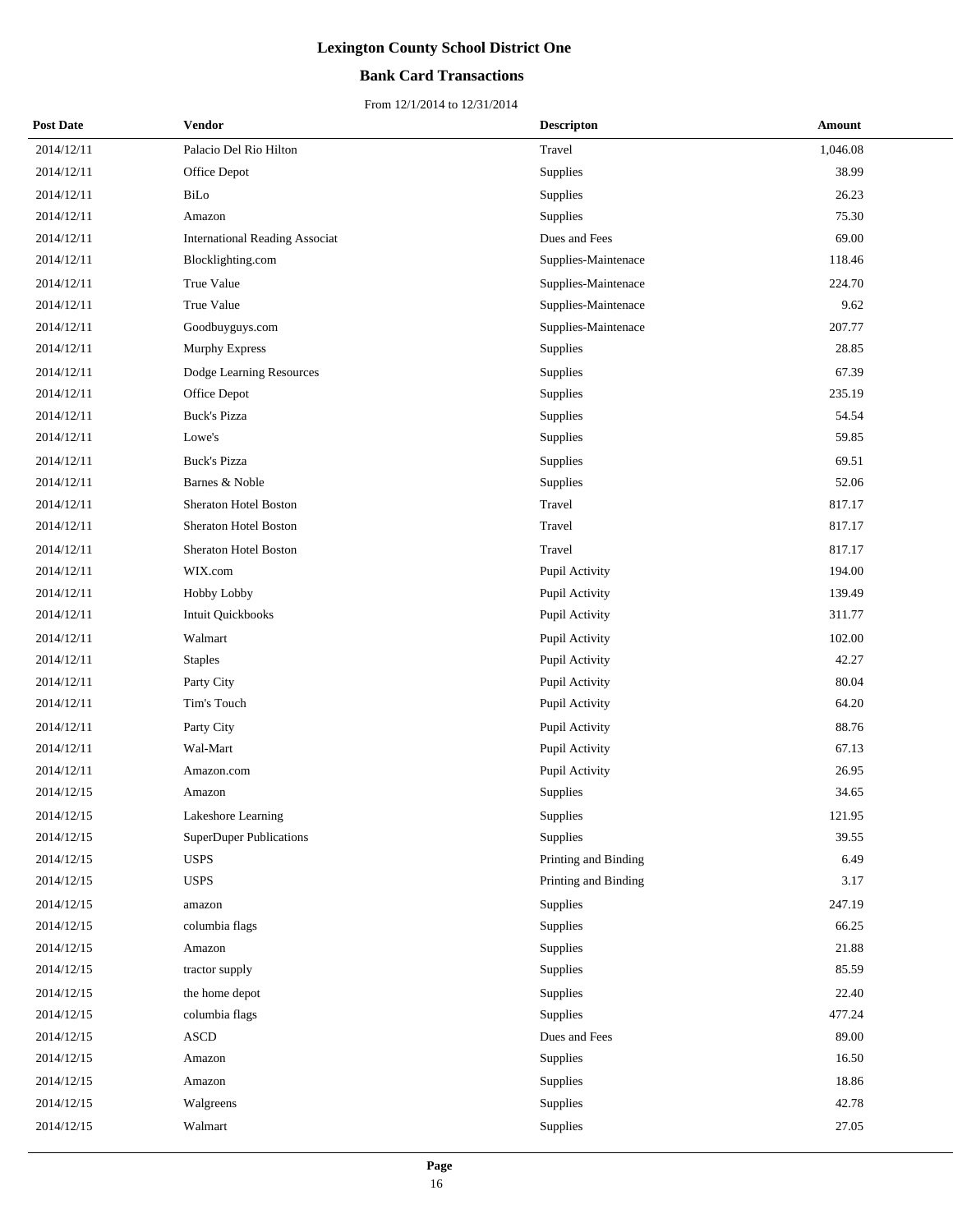## **Bank Card Transactions**

| <b>Post Date</b> | Vendor                                | <b>Descripton</b>    | Amount   |
|------------------|---------------------------------------|----------------------|----------|
| 2014/12/11       | Palacio Del Rio Hilton                | Travel               | 1,046.08 |
| 2014/12/11       | Office Depot                          | Supplies             | 38.99    |
| 2014/12/11       | BiLo                                  | Supplies             | 26.23    |
| 2014/12/11       | Amazon                                | Supplies             | 75.30    |
| 2014/12/11       | <b>International Reading Associat</b> | Dues and Fees        | 69.00    |
| 2014/12/11       | Blocklighting.com                     | Supplies-Maintenace  | 118.46   |
| 2014/12/11       | True Value                            | Supplies-Maintenace  | 224.70   |
| 2014/12/11       | True Value                            | Supplies-Maintenace  | 9.62     |
| 2014/12/11       | Goodbuyguys.com                       | Supplies-Maintenace  | 207.77   |
| 2014/12/11       | <b>Murphy Express</b>                 | Supplies             | 28.85    |
| 2014/12/11       | Dodge Learning Resources              | Supplies             | 67.39    |
| 2014/12/11       | Office Depot                          | Supplies             | 235.19   |
| 2014/12/11       | <b>Buck's Pizza</b>                   | Supplies             | 54.54    |
| 2014/12/11       | Lowe's                                | Supplies             | 59.85    |
| 2014/12/11       | <b>Buck's Pizza</b>                   | Supplies             | 69.51    |
| 2014/12/11       | Barnes & Noble                        | Supplies             | 52.06    |
| 2014/12/11       | Sheraton Hotel Boston                 | Travel               | 817.17   |
| 2014/12/11       | Sheraton Hotel Boston                 | Travel               | 817.17   |
| 2014/12/11       | Sheraton Hotel Boston                 | Travel               | 817.17   |
| 2014/12/11       | WIX.com                               | Pupil Activity       | 194.00   |
| 2014/12/11       | Hobby Lobby                           | Pupil Activity       | 139.49   |
| 2014/12/11       | Intuit Quickbooks                     | Pupil Activity       | 311.77   |
| 2014/12/11       | Walmart                               | Pupil Activity       | 102.00   |
| 2014/12/11       | <b>Staples</b>                        | Pupil Activity       | 42.27    |
| 2014/12/11       | Party City                            | Pupil Activity       | 80.04    |
| 2014/12/11       | Tim's Touch                           | Pupil Activity       | 64.20    |
| 2014/12/11       | Party City                            | Pupil Activity       | 88.76    |
| 2014/12/11       | Wal-Mart                              | Pupil Activity       | 67.13    |
| 2014/12/11       | Amazon.com                            | Pupil Activity       | 26.95    |
| 2014/12/15       | Amazon                                | Supplies             | 34.65    |
| 2014/12/15       | Lakeshore Learning                    | Supplies             | 121.95   |
| 2014/12/15       | <b>SuperDuper Publications</b>        | Supplies             | 39.55    |
| 2014/12/15       | <b>USPS</b>                           | Printing and Binding | 6.49     |
| 2014/12/15       | <b>USPS</b>                           | Printing and Binding | 3.17     |
| 2014/12/15       | amazon                                | Supplies             | 247.19   |
| 2014/12/15       | columbia flags                        | Supplies             | 66.25    |
| 2014/12/15       | Amazon                                | Supplies             | 21.88    |
| 2014/12/15       | tractor supply                        | Supplies             | 85.59    |
| 2014/12/15       | the home depot                        | Supplies             | 22.40    |
| 2014/12/15       | columbia flags                        | Supplies             | 477.24   |
| 2014/12/15       | ASCD                                  | Dues and Fees        | 89.00    |
| 2014/12/15       | Amazon                                | Supplies             | 16.50    |
| 2014/12/15       | Amazon                                | Supplies             | 18.86    |
| 2014/12/15       | Walgreens                             | Supplies             | 42.78    |
| 2014/12/15       | Walmart                               | Supplies             | 27.05    |
|                  |                                       |                      |          |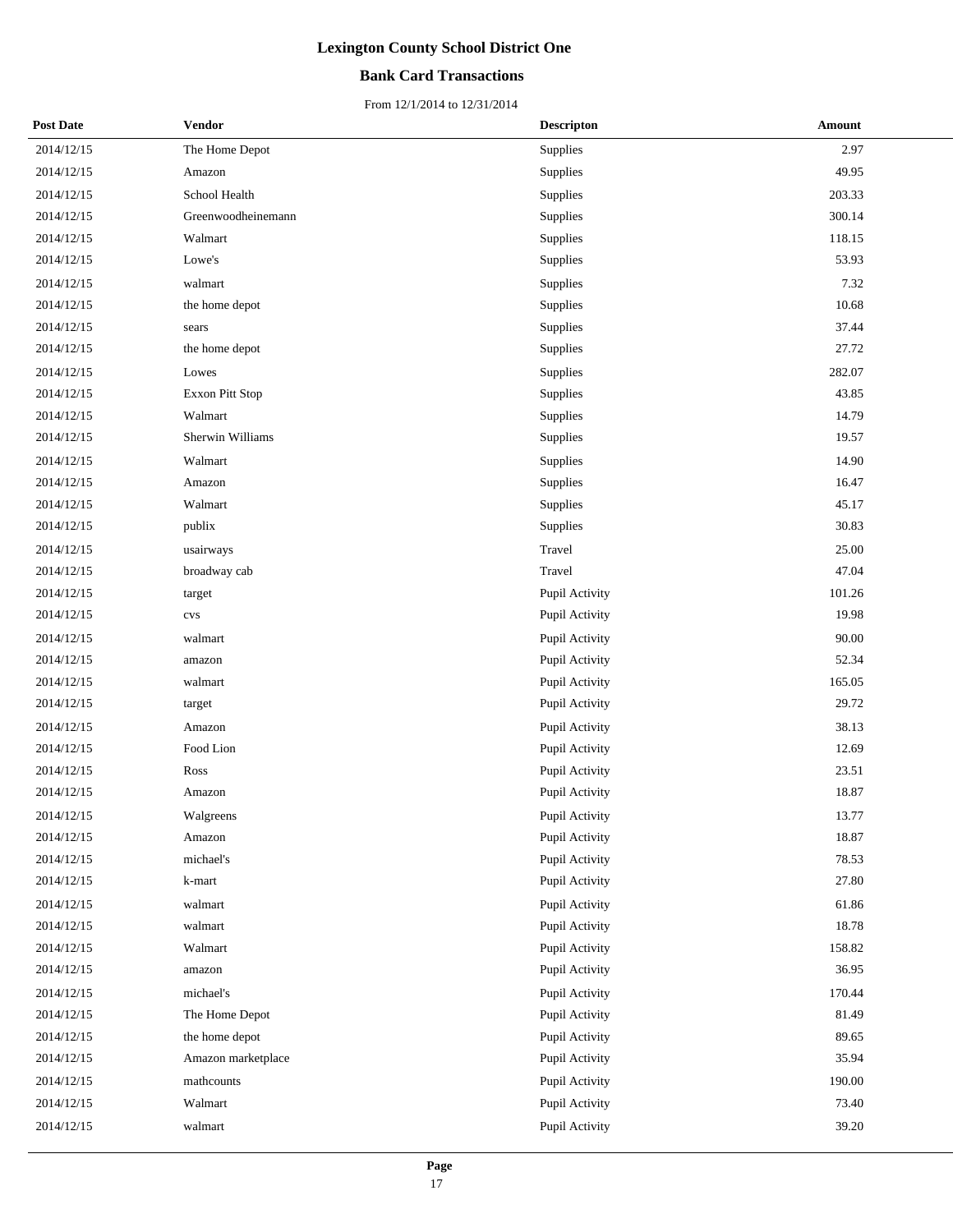## **Bank Card Transactions**

| <b>Post Date</b> | <b>Vendor</b>      | <b>Descripton</b> | Amount |
|------------------|--------------------|-------------------|--------|
| 2014/12/15       | The Home Depot     | <b>Supplies</b>   | 2.97   |
| 2014/12/15       | Amazon             | Supplies          | 49.95  |
| 2014/12/15       | School Health      | Supplies          | 203.33 |
| 2014/12/15       | Greenwoodheinemann | Supplies          | 300.14 |
| 2014/12/15       | Walmart            | Supplies          | 118.15 |
| 2014/12/15       | Lowe's             | Supplies          | 53.93  |
| 2014/12/15       | walmart            | Supplies          | 7.32   |
| 2014/12/15       | the home depot     | Supplies          | 10.68  |
| 2014/12/15       | sears              | Supplies          | 37.44  |
| 2014/12/15       | the home depot     | Supplies          | 27.72  |
| 2014/12/15       | Lowes              | Supplies          | 282.07 |
| 2014/12/15       | Exxon Pitt Stop    | Supplies          | 43.85  |
| 2014/12/15       | Walmart            | Supplies          | 14.79  |
| 2014/12/15       | Sherwin Williams   | Supplies          | 19.57  |
| 2014/12/15       | Walmart            | Supplies          | 14.90  |
| 2014/12/15       | Amazon             | Supplies          | 16.47  |
| 2014/12/15       | Walmart            | Supplies          | 45.17  |
| 2014/12/15       | publix             | Supplies          | 30.83  |
| 2014/12/15       | usairways          | Travel            | 25.00  |
| 2014/12/15       | broadway cab       | Travel            | 47.04  |
| 2014/12/15       | target             | Pupil Activity    | 101.26 |
| 2014/12/15       | cvs                | Pupil Activity    | 19.98  |
| 2014/12/15       | walmart            | Pupil Activity    | 90.00  |
| 2014/12/15       | amazon             | Pupil Activity    | 52.34  |
| 2014/12/15       | walmart            | Pupil Activity    | 165.05 |
| 2014/12/15       | target             | Pupil Activity    | 29.72  |
| 2014/12/15       | Amazon             | Pupil Activity    | 38.13  |
| 2014/12/15       | Food Lion          | Pupil Activity    | 12.69  |
| 2014/12/15       | Ross               | Pupil Activity    | 23.51  |
| 2014/12/15       | Amazon             | Pupil Activity    | 18.87  |
| 2014/12/15       | Walgreens          | Pupil Activity    | 13.77  |
| 2014/12/15       | Amazon             | Pupil Activity    | 18.87  |
| 2014/12/15       | michael's          | Pupil Activity    | 78.53  |
| 2014/12/15       | k-mart             | Pupil Activity    | 27.80  |
| 2014/12/15       | walmart            | Pupil Activity    | 61.86  |
| 2014/12/15       | walmart            | Pupil Activity    | 18.78  |
| 2014/12/15       | Walmart            | Pupil Activity    | 158.82 |
| 2014/12/15       | amazon             | Pupil Activity    | 36.95  |
| 2014/12/15       | michael's          | Pupil Activity    | 170.44 |
| 2014/12/15       | The Home Depot     | Pupil Activity    | 81.49  |
| 2014/12/15       | the home depot     | Pupil Activity    | 89.65  |
| 2014/12/15       | Amazon marketplace | Pupil Activity    | 35.94  |
| 2014/12/15       | mathcounts         | Pupil Activity    | 190.00 |
| 2014/12/15       | Walmart            | Pupil Activity    | 73.40  |
| 2014/12/15       | walmart            | Pupil Activity    | 39.20  |
|                  |                    |                   |        |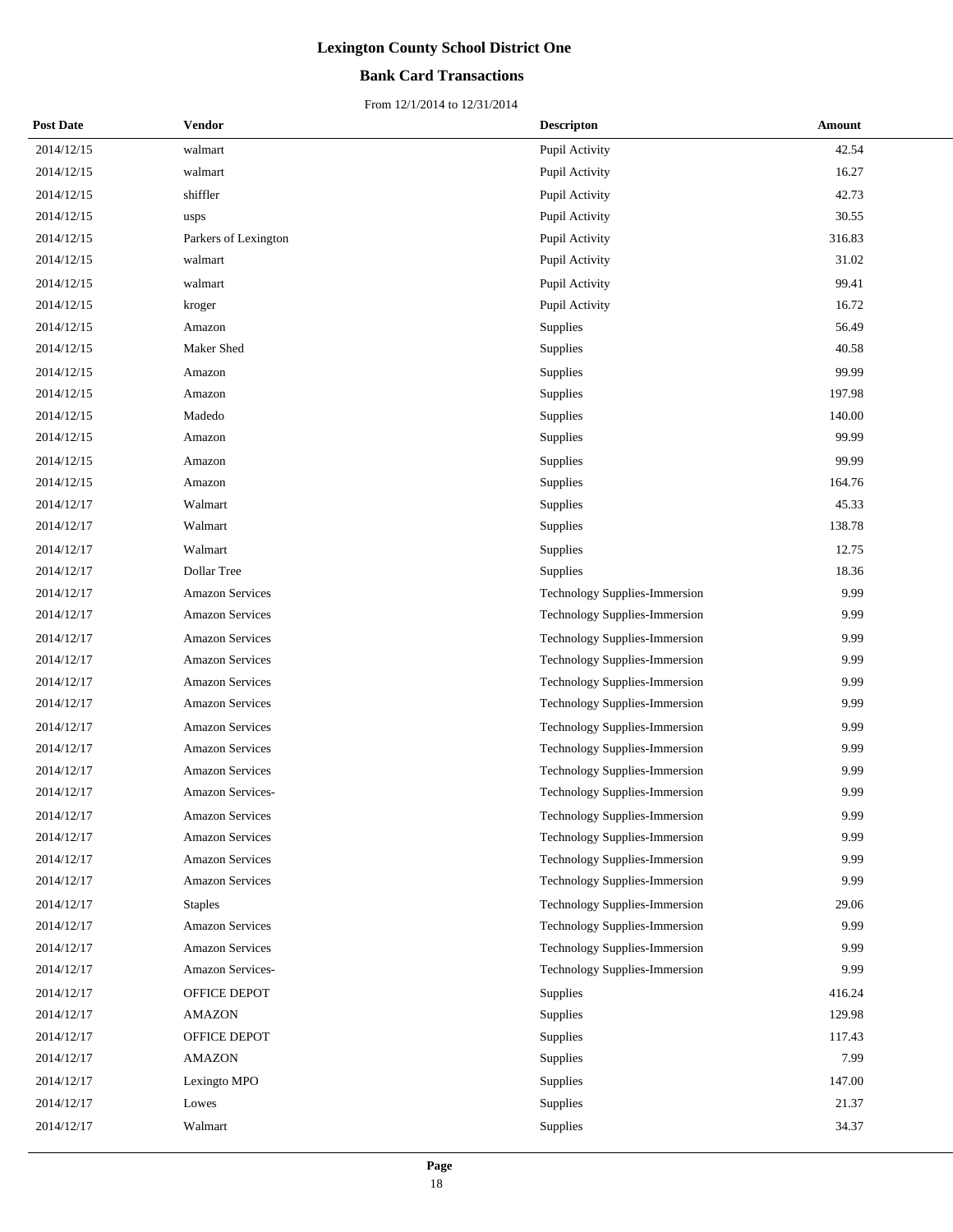### **Bank Card Transactions**

| <b>Post Date</b> | <b>Vendor</b>          | <b>Descripton</b>                    | Amount |
|------------------|------------------------|--------------------------------------|--------|
| 2014/12/15       | walmart                | Pupil Activity                       | 42.54  |
| 2014/12/15       | walmart                | Pupil Activity                       | 16.27  |
| 2014/12/15       | shiffler               | Pupil Activity                       | 42.73  |
| 2014/12/15       | usps                   | Pupil Activity                       | 30.55  |
| 2014/12/15       | Parkers of Lexington   | Pupil Activity                       | 316.83 |
| 2014/12/15       | walmart                | Pupil Activity                       | 31.02  |
| 2014/12/15       | walmart                | Pupil Activity                       | 99.41  |
| 2014/12/15       | kroger                 | Pupil Activity                       | 16.72  |
| 2014/12/15       | Amazon                 | Supplies                             | 56.49  |
| 2014/12/15       | Maker Shed             | Supplies                             | 40.58  |
| 2014/12/15       | Amazon                 | Supplies                             | 99.99  |
| 2014/12/15       | Amazon                 | <b>Supplies</b>                      | 197.98 |
| 2014/12/15       | Madedo                 | Supplies                             | 140.00 |
| 2014/12/15       | Amazon                 | Supplies                             | 99.99  |
| 2014/12/15       | Amazon                 | Supplies                             | 99.99  |
| 2014/12/15       | Amazon                 | <b>Supplies</b>                      | 164.76 |
| 2014/12/17       | Walmart                | Supplies                             | 45.33  |
| 2014/12/17       | Walmart                | Supplies                             | 138.78 |
| 2014/12/17       | Walmart                | Supplies                             | 12.75  |
| 2014/12/17       | Dollar Tree            | Supplies                             | 18.36  |
| 2014/12/17       | <b>Amazon Services</b> | Technology Supplies-Immersion        | 9.99   |
| 2014/12/17       | <b>Amazon Services</b> | Technology Supplies-Immersion        | 9.99   |
| 2014/12/17       | <b>Amazon Services</b> | Technology Supplies-Immersion        | 9.99   |
| 2014/12/17       | <b>Amazon Services</b> | Technology Supplies-Immersion        | 9.99   |
| 2014/12/17       | <b>Amazon Services</b> | Technology Supplies-Immersion        | 9.99   |
| 2014/12/17       | <b>Amazon Services</b> | Technology Supplies-Immersion        | 9.99   |
| 2014/12/17       | <b>Amazon Services</b> | Technology Supplies-Immersion        | 9.99   |
| 2014/12/17       | <b>Amazon Services</b> | Technology Supplies-Immersion        | 9.99   |
| 2014/12/17       | <b>Amazon Services</b> | Technology Supplies-Immersion        | 9.99   |
| 2014/12/17       | Amazon Services-       | Technology Supplies-Immersion        | 9.99   |
| 2014/12/17       | <b>Amazon Services</b> | Technology Supplies-Immersion        | 9.99   |
| 2014/12/17       | <b>Amazon Services</b> | Technology Supplies-Immersion        | 9.99   |
| 2014/12/17       | <b>Amazon Services</b> | <b>Technology Supplies-Immersion</b> | 9.99   |
| 2014/12/17       | <b>Amazon Services</b> | Technology Supplies-Immersion        | 9.99   |
| 2014/12/17       | <b>Staples</b>         | Technology Supplies-Immersion        | 29.06  |
| 2014/12/17       | <b>Amazon Services</b> | Technology Supplies-Immersion        | 9.99   |
| 2014/12/17       | <b>Amazon Services</b> | Technology Supplies-Immersion        | 9.99   |
| 2014/12/17       | Amazon Services-       | Technology Supplies-Immersion        | 9.99   |
| 2014/12/17       | OFFICE DEPOT           | Supplies                             | 416.24 |
| 2014/12/17       | <b>AMAZON</b>          | <b>Supplies</b>                      | 129.98 |
| 2014/12/17       | OFFICE DEPOT           | Supplies                             | 117.43 |
| 2014/12/17       | <b>AMAZON</b>          | Supplies                             | 7.99   |
| 2014/12/17       | Lexingto MPO           | Supplies                             | 147.00 |
| 2014/12/17       | Lowes                  | Supplies                             | 21.37  |
| 2014/12/17       | Walmart                | Supplies                             | 34.37  |
|                  |                        |                                      |        |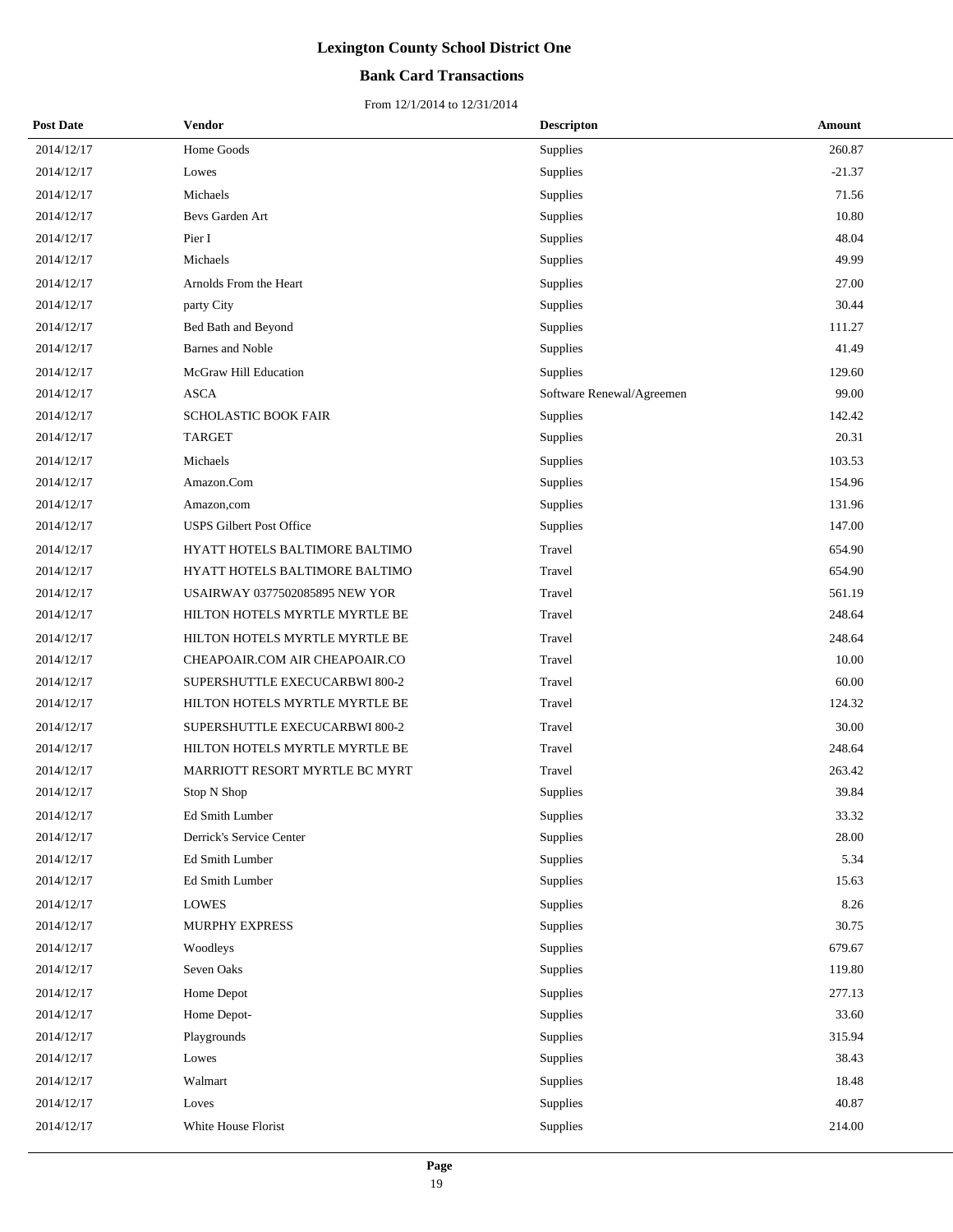## **Bank Card Transactions**

| <b>Post Date</b> | Vendor                          | <b>Descripton</b>         | Amount   |
|------------------|---------------------------------|---------------------------|----------|
| 2014/12/17       | Home Goods                      | Supplies                  | 260.87   |
| 2014/12/17       | Lowes                           | Supplies                  | $-21.37$ |
| 2014/12/17       | Michaels                        | Supplies                  | 71.56    |
| 2014/12/17       | Bevs Garden Art                 | Supplies                  | 10.80    |
| 2014/12/17       | Pier I                          | Supplies                  | 48.04    |
| 2014/12/17       | Michaels                        | Supplies                  | 49.99    |
| 2014/12/17       | Arnolds From the Heart          | Supplies                  | 27.00    |
| 2014/12/17       | party City                      | Supplies                  | 30.44    |
| 2014/12/17       | Bed Bath and Beyond             | Supplies                  | 111.27   |
| 2014/12/17       | <b>Barnes</b> and Noble         | Supplies                  | 41.49    |
| 2014/12/17       | McGraw Hill Education           | Supplies                  | 129.60   |
| 2014/12/17       | <b>ASCA</b>                     | Software Renewal/Agreemen | 99.00    |
| 2014/12/17       | SCHOLASTIC BOOK FAIR            | Supplies                  | 142.42   |
| 2014/12/17       | <b>TARGET</b>                   | Supplies                  | 20.31    |
| 2014/12/17       | Michaels                        | Supplies                  | 103.53   |
| 2014/12/17       | Amazon.Com                      | Supplies                  | 154.96   |
| 2014/12/17       | Amazon,com                      | Supplies                  | 131.96   |
| 2014/12/17       | <b>USPS Gilbert Post Office</b> | Supplies                  | 147.00   |
| 2014/12/17       | HYATT HOTELS BALTIMORE BALTIMO  | Travel                    | 654.90   |
| 2014/12/17       | HYATT HOTELS BALTIMORE BALTIMO  | Travel                    | 654.90   |
| 2014/12/17       | USAIRWAY 0377502085895 NEW YOR  | Travel                    | 561.19   |
| 2014/12/17       | HILTON HOTELS MYRTLE MYRTLE BE  | Travel                    | 248.64   |
| 2014/12/17       | HILTON HOTELS MYRTLE MYRTLE BE  | Travel                    | 248.64   |
| 2014/12/17       | CHEAPOAIR.COM AIR CHEAPOAIR.CO  | Travel                    | 10.00    |
| 2014/12/17       | SUPERSHUTTLE EXECUCARBWI 800-2  | Travel                    | 60.00    |
| 2014/12/17       | HILTON HOTELS MYRTLE MYRTLE BE  | Travel                    | 124.32   |
| 2014/12/17       | SUPERSHUTTLE EXECUCARBWI 800-2  | Travel                    | 30.00    |
| 2014/12/17       | HILTON HOTELS MYRTLE MYRTLE BE  | Travel                    | 248.64   |
| 2014/12/17       | MARRIOTT RESORT MYRTLE BC MYRT  | Travel                    | 263.42   |
| 2014/12/17       | Stop N Shop                     | Supplies                  | 39.84    |
| 2014/12/17       | Ed Smith Lumber                 | Supplies                  | 33.32    |
| 2014/12/17       | Derrick's Service Center        | Supplies                  | 28.00    |
| 2014/12/17       | Ed Smith Lumber                 | Supplies                  | 5.34     |
| 2014/12/17       | Ed Smith Lumber                 | Supplies                  | 15.63    |
| 2014/12/17       | <b>LOWES</b>                    | Supplies                  | 8.26     |
| 2014/12/17       | MURPHY EXPRESS                  | Supplies                  | 30.75    |
| 2014/12/17       | Woodleys                        | Supplies                  | 679.67   |
| 2014/12/17       | Seven Oaks                      | Supplies                  | 119.80   |
| 2014/12/17       | Home Depot                      | Supplies                  | 277.13   |
| 2014/12/17       | Home Depot-                     | Supplies                  | 33.60    |
| 2014/12/17       | Playgrounds                     | Supplies                  | 315.94   |
| 2014/12/17       | Lowes                           | Supplies                  | 38.43    |
| 2014/12/17       | Walmart                         | Supplies                  | 18.48    |
| 2014/12/17       | Loves                           | Supplies                  | 40.87    |
| 2014/12/17       | White House Florist             | Supplies                  | 214.00   |
|                  |                                 |                           |          |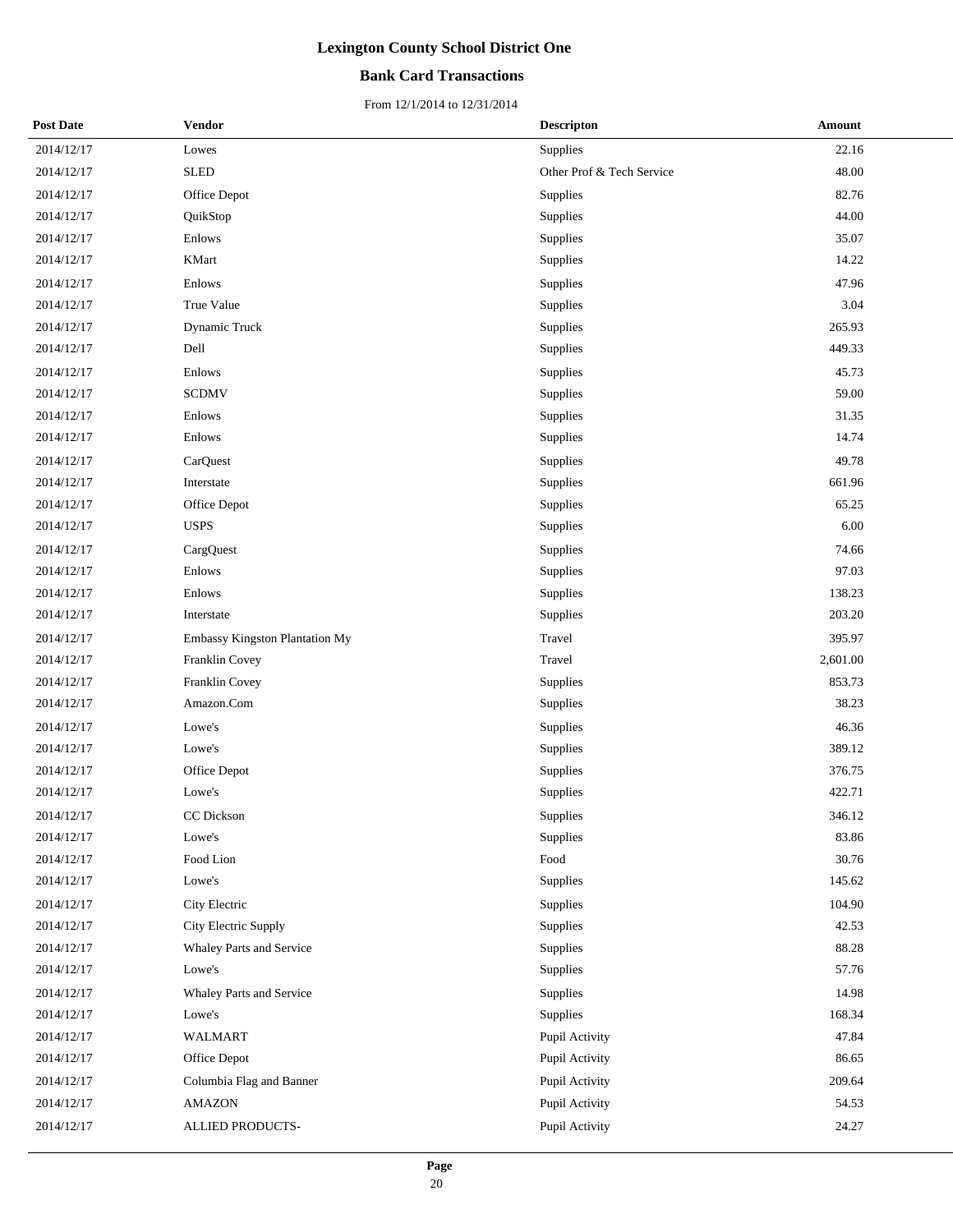## **Bank Card Transactions**

| <b>Post Date</b> | Vendor                         | <b>Descripton</b>         | <b>Amount</b> |
|------------------|--------------------------------|---------------------------|---------------|
| 2014/12/17       | Lowes                          | <b>Supplies</b>           | 22.16         |
| 2014/12/17       | <b>SLED</b>                    | Other Prof & Tech Service | 48.00         |
| 2014/12/17       | Office Depot                   | Supplies                  | 82.76         |
| 2014/12/17       | QuikStop                       | Supplies                  | 44.00         |
| 2014/12/17       | Enlows                         | Supplies                  | 35.07         |
| 2014/12/17       | <b>KMart</b>                   | Supplies                  | 14.22         |
| 2014/12/17       | Enlows                         | Supplies                  | 47.96         |
| 2014/12/17       | True Value                     | Supplies                  | 3.04          |
| 2014/12/17       | Dynamic Truck                  | Supplies                  | 265.93        |
| 2014/12/17       | Dell                           | Supplies                  | 449.33        |
| 2014/12/17       | Enlows                         | Supplies                  | 45.73         |
| 2014/12/17       | <b>SCDMV</b>                   | Supplies                  | 59.00         |
| 2014/12/17       | Enlows                         | Supplies                  | 31.35         |
| 2014/12/17       | Enlows                         | Supplies                  | 14.74         |
| 2014/12/17       | CarQuest                       | Supplies                  | 49.78         |
| 2014/12/17       | Interstate                     | Supplies                  | 661.96        |
| 2014/12/17       | Office Depot                   | Supplies                  | 65.25         |
| 2014/12/17       | <b>USPS</b>                    | Supplies                  | 6.00          |
| 2014/12/17       | CargQuest                      | Supplies                  | 74.66         |
| 2014/12/17       | Enlows                         | Supplies                  | 97.03         |
| 2014/12/17       | Enlows                         | Supplies                  | 138.23        |
| 2014/12/17       | Interstate                     | Supplies                  | 203.20        |
| 2014/12/17       | Embassy Kingston Plantation My | Travel                    | 395.97        |
| 2014/12/17       | Franklin Covey                 | Travel                    | 2,601.00      |
| 2014/12/17       | Franklin Covey                 | Supplies                  | 853.73        |
| 2014/12/17       | Amazon.Com                     | Supplies                  | 38.23         |
| 2014/12/17       | Lowe's                         | Supplies                  | 46.36         |
| 2014/12/17       | Lowe's                         | Supplies                  | 389.12        |
| 2014/12/17       | Office Depot                   | Supplies                  | 376.75        |
| 2014/12/17       | Lowe's                         | Supplies                  | 422.71        |
| 2014/12/17       | CC Dickson                     | Supplies                  | 346.12        |
| 2014/12/17       | Lowe's                         | <b>Supplies</b>           | 83.86         |
| 2014/12/17       | Food Lion                      | $\operatorname*{Food}$    | 30.76         |
| 2014/12/17       | Lowe's                         | Supplies                  | 145.62        |
| 2014/12/17       | City Electric                  | Supplies                  | 104.90        |
| 2014/12/17       | City Electric Supply           | Supplies                  | 42.53         |
| 2014/12/17       | Whaley Parts and Service       | Supplies                  | 88.28         |
| 2014/12/17       | Lowe's                         | Supplies                  | 57.76         |
| 2014/12/17       | Whaley Parts and Service       | Supplies                  | 14.98         |
| 2014/12/17       | Lowe's                         | Supplies                  | 168.34        |
| 2014/12/17       | <b>WALMART</b>                 | Pupil Activity            | 47.84         |
| 2014/12/17       | Office Depot                   | Pupil Activity            | 86.65         |
| 2014/12/17       | Columbia Flag and Banner       | Pupil Activity            | 209.64        |
| 2014/12/17       | AMAZON                         | Pupil Activity            | 54.53         |
| 2014/12/17       | ALLIED PRODUCTS-               | Pupil Activity            | 24.27         |
|                  |                                |                           |               |